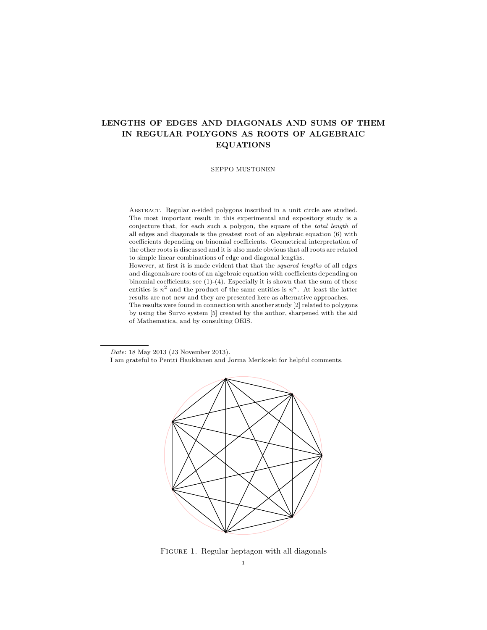# LENGTHS OF EDGES AND DIAGONALS AND SUMS OF THEM IN REGULAR POLYGONS AS ROOTS OF ALGEBRAIC EQUATIONS

SEPPO MUSTONEN

ABSTRACT. Regular  $n$ -sided polygons inscribed in a unit circle are studied. The most important result in this experimental and expository study is a conjecture that, for each such a polygon, the square of the total length of all edges and diagonals is the greatest root of an algebraic equation (6) with coefficients depending on binomial coefficients. Geometrical interpretation of the other roots is discussed and it is also made obvious that all roots are related to simple linear combinations of edge and diagonal lengths.

However, at first it is made evident that that the squared lengths of all edges and diagonals are roots of an algebraic equation with coefficients depending on binomial coefficients; see (1)-(4). Especially it is shown that the sum of those entities is  $n^2$  and the product of the same entities is  $n^n$ . At least the latter results are not new and they are presented here as alternative approaches. The results were found in connection with another study [2] related to polygons

by using the Survo system [5] created by the author, sharpened with the aid of Mathematica, and by consulting OEIS.

Date: 18 May 2013 (23 November 2013).

I am grateful to Pentti Haukkanen and Jorma Merikoski for helpful comments.



FIGURE 1. Regular heptagon with all diagonals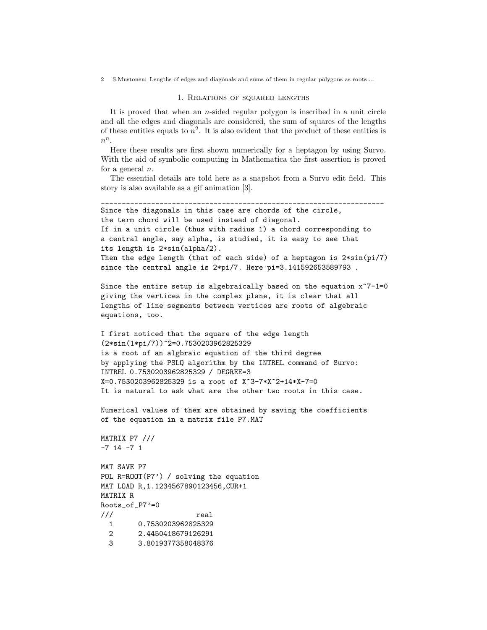### 1. Relations of squared lengths

It is proved that when an  $n$ -sided regular polygon is inscribed in a unit circle and all the edges and diagonals are considered, the sum of squares of the lengths of these entities equals to  $n^2$ . It is also evident that the product of these entities is  $n^n$ .

Here these results are first shown numerically for a heptagon by using Survo. With the aid of symbolic computing in Mathematica the first assertion is proved for a general  $n$ .

The essential details are told here as a snapshot from a Survo edit field. This story is also available as a gif animation [3].

```
____________________________________________________________________
Since the diagonals in this case are chords of the circle,
the term chord will be used instead of diagonal.
If in a unit circle (thus with radius 1) a chord corresponding to
a central angle, say alpha, is studied, it is easy to see that
its length is 2*sin(alpha/2).
Then the edge length (that of each side) of a heptagon is 2 * sin(pi/7)since the central angle is 2*pi/7. Here pi=3.141592653589793 .
Since the entire setup is algebraically based on the equation x^{\gamma}-1=0giving the vertices in the complex plane, it is clear that all
lengths of line segments between vertices are roots of algebraic
equations, too.
I first noticed that the square of the edge length
(2*sin(1*pi/7))^2=0.7530203962825329
is a root of an algbraic equation of the third degree
by applying the PSLQ algorithm by the INTREL command of Survo:
INTREL 0.7530203962825329 / DEGREE=3
X=0.7530203962825329 is a root of X^3-7*X^2+14*X-7=0
It is natural to ask what are the other two roots in this case.
Numerical values of them are obtained by saving the coefficients
of the equation in a matrix file P7.MAT
```

```
MATRIX P7 ///
-7 14 -7 1
```
MAT SAVE P7 POL R=ROOT(P7') / solving the equation MAT LOAD R,1.1234567890123456,CUR+1 MATRIX R Roots\_of\_P7'=0 /// real 1 0.7530203962825329 2 2.4450418679126291 3 3.8019377358048376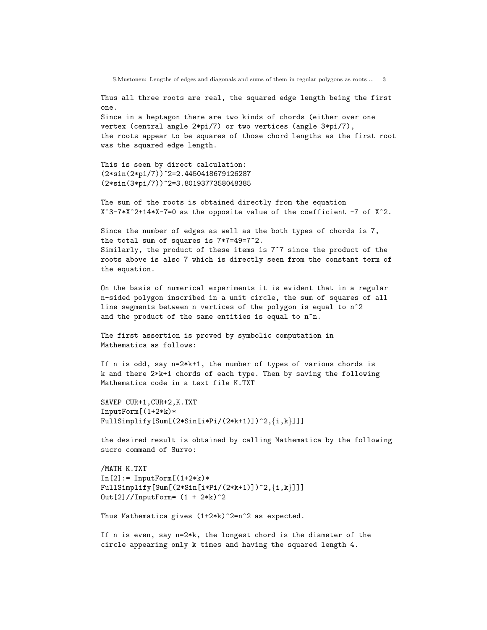Thus all three roots are real, the squared edge length being the first one.

Since in a heptagon there are two kinds of chords (either over one vertex (central angle 2\*pi/7) or two vertices (angle 3\*pi/7), the roots appear to be squares of those chord lengths as the first root was the squared edge length.

This is seen by direct calculation: (2\*sin(2\*pi/7))^2=2.4450418679126287 (2\*sin(3\*pi/7))^2=3.8019377358048385

The sum of the roots is obtained directly from the equation  $X^3$ -7\*X^2+14\*X-7=0 as the opposite value of the coefficient -7 of X^2.

Since the number of edges as well as the both types of chords is 7, the total sum of squares is 7\*7=49=7^2. Similarly, the product of these items is 7^7 since the product of the roots above is also 7 which is directly seen from the constant term of the equation.

On the basis of numerical experiments it is evident that in a regular n-sided polygon inscribed in a unit circle, the sum of squares of all line segments between n vertices of the polygon is equal to n^2 and the product of the same entities is equal to n^n.

The first assertion is proved by symbolic computation in Mathematica as follows:

If n is odd, say n=2\*k+1, the number of types of various chords is k and there 2\*k+1 chords of each type. Then by saving the following Mathematica code in a text file K.TXT

SAVEP CUR+1,CUR+2,K.TXT InputForm[(1+2\*k)\* FullSimplify[Sum[(2\*Sin[i\*Pi/(2\*k+1)])^2, $\{i,k\}$ ]]]

the desired result is obtained by calling Mathematica by the following sucro command of Survo:

```
/MATH K.TXT
In [2]: = InputForm[(1+2*k)*FullSimplify[Sum[(2*Sin[i*Pi/(2*k+1)])^2,\{i,k\}]]]Out[2]/InputForm= (1 + 2*k)^2
```
Thus Mathematica gives (1+2\*k)^2=n^2 as expected.

If n is even, say n=2\*k, the longest chord is the diameter of the circle appearing only k times and having the squared length 4.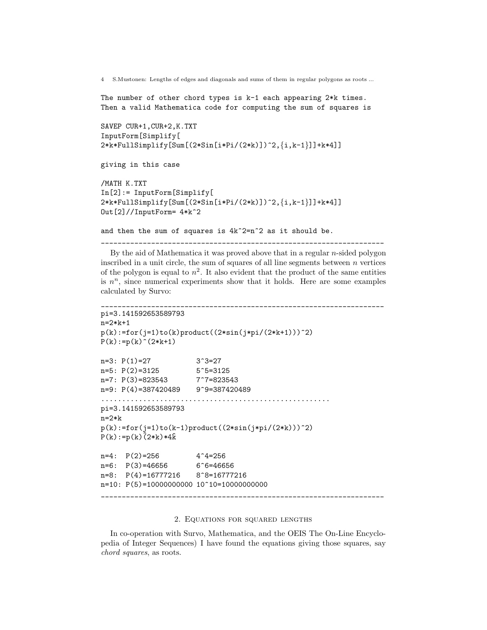The number of other chord types is k-1 each appearing 2\*k times. Then a valid Mathematica code for computing the sum of squares is

```
SAVEP CUR+1,CUR+2,K.TXT
InputForm[Simplify[
2*k*FullSimplify[Sum[(2*Sin[i*Pi/(2*k)])^2,{i,k-1}]]+k*4]]
```

```
giving in this case
```

```
/MATH K.TXT
In[2]:= InputForm[Simplify[
2*k*FullSimplify[Sum[(2*Sin[i*Pi/(2*k)])^2,{i,k-1}]]+k*4]]
Out[2]//InputForm= 4*k^2
```
and then the sum of squares is  $4k^2=n^2$  as it should be.

By the aid of Mathematica it was proved above that in a regular  $n$ -sided polygon inscribed in a unit circle, the sum of squares of all line segments between  $n$  vertices of the polygon is equal to  $n^2$ . It also evident that the product of the same entities is  $n^n$ , since numerical experiments show that it holds. Here are some examples calculated by Survo:

\_\_\_\_\_\_\_\_\_\_\_\_\_\_\_\_\_\_\_\_\_\_\_\_\_\_\_\_\_\_\_\_\_\_\_\_\_\_\_\_\_\_\_\_\_\_\_\_\_\_\_\_\_\_\_\_\_\_\_\_\_\_\_\_\_\_\_\_

```
____________________________________________________________________
pi=3.141592653589793
n=2*k+1
p(k):=for(j=1)to(k)product((2*sin(j*pi/(2*k+1)))^2)P(k):=p(k) (2*k+1)n=3: P(1)=27 3^3=27
n=5: P(2) = 3125 5^5=3125
n=3: r(2)-3123<br>n=7: P(3)=823543 7^7=823543
n=9: P(4)=387420489 9<sup>-9=387420489</sup>
.......................................................
pi=3.141592653589793
n=2*kp(k):=for(j=1)to(k-1)product((2*sin(j*pi/(2*k)))^2)P(k):=p(k)\hat{(}2*k)*4\hat{k}n=4: P(2)=256 4^4=256n=6: P(3)=46656 6<sup>\infty</sup>6=46656
n=8: P(4)=16777216 8<sup>-</sup>8=16777216
n=10: P(5)=10000000000 10^10=10000000000
____________________________________________________________________
```
# 2. Equations for squared lengths

In co-operation with Survo, Mathematica, and the OEIS The On-Line Encyclopedia of Integer Sequences) I have found the equations giving those squares, say chord squares, as roots.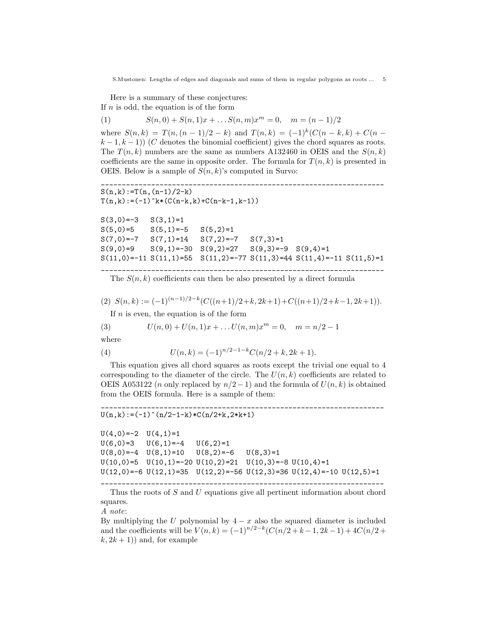Here is a summary of these conjectures: If  $n$  is odd, the equation is of the form

(1) 
$$
S(n,0) + S(n,1)x + \dots S(n,m)x^m = 0, \quad m = (n-1)/2
$$

where  $S(n, k) = T(n, (n - 1)/2 - k)$  and  $T(n, k) = (-1)^k (C(n - k, k) + C(n - k))$  $k-1, k-1$ )) (C denotes the binomial coefficient) gives the chord squares as roots. The  $T(n, k)$  numbers are the same as numbers A132460 in OEIS and the  $S(n, k)$ coefficients are the same in opposite order. The formula for  $T(n, k)$  is presented in OEIS. Below is a sample of  $S(n, k)$ 's computed in Survo:

```
____________________________________________________________________
S(n,k):=T(n,(n-1)/2-k)T(n,k):=(-1)^k*(C(n-k,k)+C(n-k-1,k-1))S(3,0) = -3 S(3,1) = 1S(5,0)=5 S(5,1)=-5 S(5,2)=1S(7,0) = -7 S(7,1) = 14 S(7,2) = -7 S(7,3) = 1S(9,0)=9 S(9,1)=-30 S(9,2)=27 S(9,3)=-9 S(9,4)=1S(11,0) = -11 S(11,1) = 55 S(11,2) = -77 S(11,3) = 44 S(11,4) = -11 S(11,5) = 1____________________________________________________________________
```
The  $S(n, k)$  coefficients can then be also presented by a direct formula

(2)  $S(n,k) := (-1)^{(n-1)/2-k} (C((n+1)/2+k, 2k+1) + C((n+1)/2+k-1, 2k+1)).$ 

If  $n$  is even, the equation is of the form

(3) 
$$
U(n,0) + U(n,1)x + \dots U(n,m)x^m = 0, \quad m = n/2 - 1
$$

where

(4) 
$$
U(n,k) = (-1)^{n/2-1-k} C(n/2+k, 2k+1).
$$

This equation gives all chord squares as roots except the trivial one equal to 4 corresponding to the diameter of the circle. The  $U(n, k)$  coefficients are related to OEIS A053122 (*n* only replaced by  $n/2-1$ ) and the formula of  $U(n, k)$  is obtained from the OEIS formula. Here is a sample of them:

\_\_\_\_\_\_\_\_\_\_\_\_\_\_\_\_\_\_\_\_\_\_\_\_\_\_\_\_\_\_\_\_\_\_\_\_\_\_\_\_\_\_\_\_\_\_\_\_\_\_\_\_\_\_\_\_\_\_\_\_\_\_\_\_\_\_\_\_

# $U(n,k):=(-1)^{n}(n/2-1-k)*C(n/2+k,2*k+1)$

```
U(4,0) = -2 U(4,1) = 1U(6,0)=3 U(6,1)=-4 U(6,2)=1U(8,0) = -4 U(8,1) = 10 U(8,2) = -6 U(8,3) = 1U(10,0)=5 U(10,1)=-20 U(10,2)=21 U(10,3)=-8 U(10,4)=1U(12,0)=-6 U(12,1)=35 U(12,2)=-56 U(12,3)=36 U(12,4)=-10 U(12,5)=1
```
\_\_\_\_\_\_\_\_\_\_\_\_\_\_\_\_\_\_\_\_\_\_\_\_\_\_\_\_\_\_\_\_\_\_\_\_\_\_\_\_\_\_\_\_\_\_\_\_\_\_\_\_\_\_\_\_\_\_\_\_\_\_\_\_\_\_\_\_ Thus the roots of S and U equations give all pertinent information about chord squares.

A note:

By multiplying the U polynomial by  $4 - x$  also the squared diameter is included and the coefficients will be  $V(n,k) = (-1)^{n/2-k} (C(n/2+k-1, 2k-1) + 4C(n/2 + k))$  $(k, 2k + 1)$  and, for example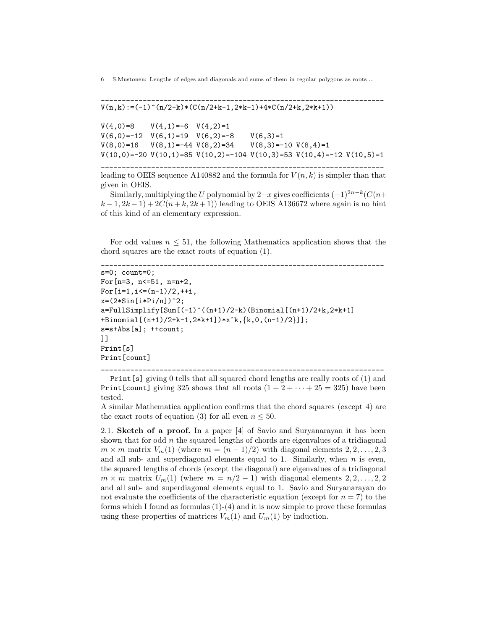\_\_\_\_\_\_\_\_\_\_\_\_\_\_\_\_\_\_\_\_\_\_\_\_\_\_\_\_\_\_\_\_\_\_\_\_\_\_\_\_\_\_\_\_\_\_\_\_\_\_\_\_\_\_\_\_\_\_\_\_\_\_\_\_\_\_\_\_  $V(n,k):=(-1)^{n}(n/2-k)*(C(n/2+k-1,2*k-1)+4*C(n/2+k,2*k+1))$  $V(4,0)=8$   $V(4,1)=-6$   $V(4,2)=1$  $V(6,0) = -12$   $V(6,1) = 19$   $V(6,2) = -8$   $V(6,3) = 1$  $V(8,0)=16$   $V(8,1)=-44$   $V(8,2)=34$   $V(8,3)=-10$   $V(8,4)=1$ 

\_\_\_\_\_\_\_\_\_\_\_\_\_\_\_\_\_\_\_\_\_\_\_\_\_\_\_\_\_\_\_\_\_\_\_\_\_\_\_\_\_\_\_\_\_\_\_\_\_\_\_\_\_\_\_\_\_\_\_\_\_\_\_\_\_\_\_\_ leading to OEIS sequence A140882 and the formula for  $V(n, k)$  is simpler than that given in OEIS.

 $V(10,0)$ =-20  $V(10,1)$ =85  $V(10,2)$ =-104  $V(10,3)$ =53  $V(10,4)$ =-12  $V(10,5)$ =1

Similarly, multiplying the U polynomial by 2–x gives coefficients  $(-1)^{2n-k}$  $(C(n+1))$  $k-1$ ,  $2k-1$ ) +  $2C(n+k, 2k+1)$ ) leading to OEIS A136672 where again is no hint of this kind of an elementary expression.

For odd values  $n \leq 51$ , the following Mathematica application shows that the chord squares are the exact roots of equation (1).

```
____________________________________________________________________
s=0; count=0;
For[n=3, n<=51, n=n+2,
For[i=1, i<=(n-1)/2, ++i,x=(2*Sin[i*Pi/n])^2;a = FullSimplify[Sum[(-1)^((n+1)/2-k)(Binomial[(n+1)/2+k,2*k+1])+Binomial[(n+1)/2+k-1,2*k+1])*x^k,{k,0,(n-1)/2}]];
s=s+Abs[a]; ++count;]]
Print[s]
Print[count]
```
\_\_\_\_\_\_\_\_\_\_\_\_\_\_\_\_\_\_\_\_\_\_\_\_\_\_\_\_\_\_\_\_\_\_\_\_\_\_\_\_\_\_\_\_\_\_\_\_\_\_\_\_\_\_\_\_\_\_\_\_\_\_\_\_\_\_\_\_

Print[s] giving 0 tells that all squared chord lengths are really roots of (1) and Print [count] giving 325 shows that all roots  $(1 + 2 + \cdots + 25 = 325)$  have been tested.

A similar Mathematica application confirms that the chord squares (except 4) are the exact roots of equation (3) for all even  $n \leq 50$ .

2.1. Sketch of a proof. In a paper [4] of Savio and Suryanarayan it has been shown that for odd  $n$  the squared lengths of chords are eigenvalues of a tridiagonal  $m \times m$  matrix  $V_m(1)$  (where  $m = (n-1)/2$ ) with diagonal elements  $2, 2, ..., 2, 3$ and all sub- and superdiagonal elements equal to 1. Similarly, when  $n$  is even, the squared lengths of chords (except the diagonal) are eigenvalues of a tridiagonal  $m \times m$  matrix  $U_m(1)$  (where  $m = n/2 - 1$ ) with diagonal elements  $2, 2, ..., 2, 2$ and all sub- and superdiagonal elements equal to 1. Savio and Suryanarayan do not evaluate the coefficients of the characteristic equation (except for  $n = 7$ ) to the forms which I found as formulas  $(1)-(4)$  and it is now simple to prove these formulas using these properties of matrices  $V_m(1)$  and  $U_m(1)$  by induction.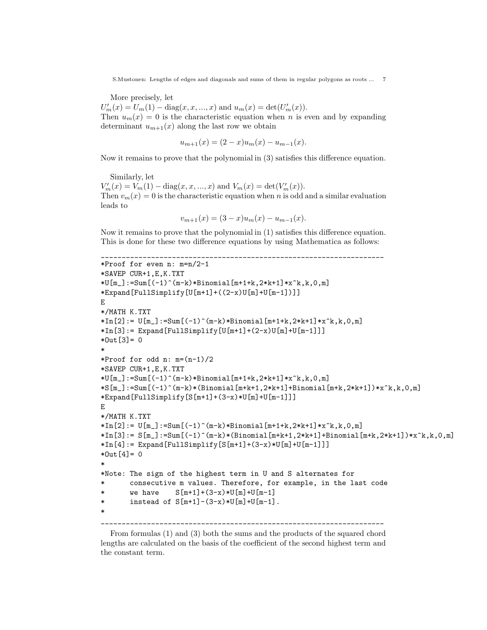More precisely, let

 $U'_m(x) = U_m(1) - \text{diag}(x, x, ..., x)$  and  $u_m(x) = \text{det}(U'_m(x)).$ Then  $u_m(x) = 0$  is the characteristic equation when n is even and by expanding determinant  $u_{m+1}(x)$  along the last row we obtain

$$
u_{m+1}(x) = (2 - x)u_m(x) - u_{m-1}(x).
$$

Now it remains to prove that the polynomial in (3) satisfies this difference equation.

Similarly, let

 $V'_m(x) = V_m(1) - \text{diag}(x, x, ..., x)$  and  $V_m(x) = \text{det}(V'_m(x))$ . Then  $v_m(x) = 0$  is the characteristic equation when n is odd and a similar evaluation leads to

$$
v_{m+1}(x) = (3-x)u_m(x) - u_{m-1}(x).
$$

Now it remains to prove that the polynomial in (1) satisfies this difference equation. This is done for these two difference equations by using Mathematica as follows:

```
____________________________________________________________________
*Proof for even n: m=n/2-1
*SAVEP CUR+1,E,K.TXT
*U[m_]:=Sum[(-1)^{(m-k)*Binomial[m+1+k,2*k+1]*x^k,k,0,m]*Expand[FullSimplify[U[m+1]+((2-x)U[m]+U[m-1])]]
E
*/MATH K.TXT
*\ln[2]: = U[m_]: = Sum[(-1)^{(m-k)*Binomial[m+1+k,2*k+1]*x^k,k,0,m]}*In[3]:= Expand[FullSimplify[U[m+1]+(2-x)U[m]+U[m-1]]]*Out[3] = 0*
*Proof for odd n: m=(n-1)/2*SAVEP CUR+1,E,K.TXT
*U[m_]:=Sum[(-1)^{(m-k)*Binomial[m+1+k,2*k+1]*x^k,k,0,m]S[m_]:=Sum[(-1)^(m-k)*(Binomial[m+k+1,2*k+1]+Binomial[m+k,2*k+1])*x^k,k,0,m]*Expand[FullSimplify[S[m+1]+(3-x)*U[m]+U[m-1]]]
E
*/MATH K.TXT
*In[2]: = U[m_]: = Sum[(-1)^{(m-k)*Binomial[m+1+k,2*k+1]*x^k,k,0,m]*\ln[3]:= S[m_]]:\text{Sum}[(-1)^{n-k}*(Binomial[m+k+1,2*k+1]+Binomial[m+k,2*k+1])**k,k,0,m]*In[4]: = Expand[FullSimplify[S[m+1]+(3-x)*U[m]+U[m-1]]]*Out[4] = 0*
*Note: The sign of the highest term in U and S alternates for
       consecutive m values. Therefore, for example, in the last code
* we have S[m+1] + (3-x)*U[m]+U[m-1]* instead of S[m+1] - (3-x)*U[m]+U[m-1].
*
```
From formulas (1) and (3) both the sums and the products of the squared chord lengths are calculated on the basis of the coefficient of the second highest term and the constant term.

\_\_\_\_\_\_\_\_\_\_\_\_\_\_\_\_\_\_\_\_\_\_\_\_\_\_\_\_\_\_\_\_\_\_\_\_\_\_\_\_\_\_\_\_\_\_\_\_\_\_\_\_\_\_\_\_\_\_\_\_\_\_\_\_\_\_\_\_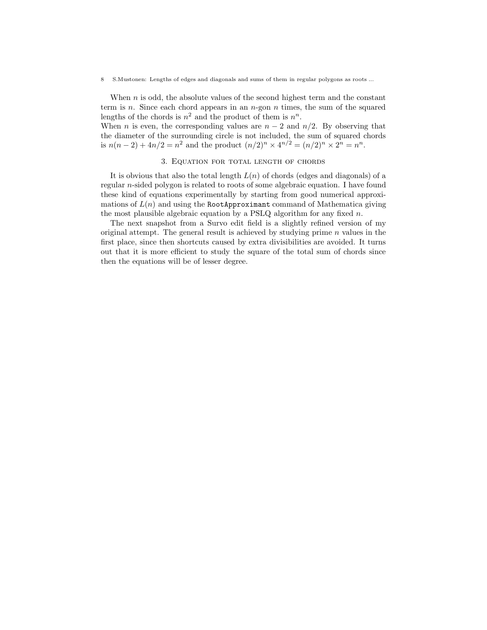When  $n$  is odd, the absolute values of the second highest term and the constant term is n. Since each chord appears in an  $n$ -gon n times, the sum of the squared lengths of the chords is  $n^2$  and the product of them is  $n^n$ .

When *n* is even, the corresponding values are  $n - 2$  and  $n/2$ . By observing that the diameter of the surrounding circle is not included, the sum of squared chords is  $n(n-2) + 4n/2 = n^2$  and the product  $(n/2)^n \times 4^{n/2} = (n/2)^n \times 2^n = n^n$ .

# 3. Equation for total length of chords

It is obvious that also the total length  $L(n)$  of chords (edges and diagonals) of a regular n-sided polygon is related to roots of some algebraic equation. I have found these kind of equations experimentally by starting from good numerical approximations of  $L(n)$  and using the RootApproximant command of Mathematica giving the most plausible algebraic equation by a PSLQ algorithm for any fixed  $n$ .

The next snapshot from a Survo edit field is a slightly refined version of my original attempt. The general result is achieved by studying prime  $n$  values in the first place, since then shortcuts caused by extra divisibilities are avoided. It turns out that it is more efficient to study the square of the total sum of chords since then the equations will be of lesser degree.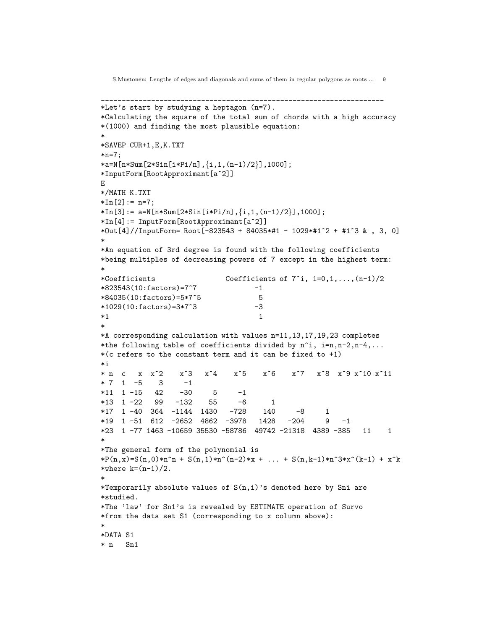```
*Let's start by studying a heptagon (n=7).
*Calculating the square of the total sum of chords with a high accuracy
*(1000) and finding the most plausible equation:
*
*SAVEP CUR+1,E,K.TXT
*n=7;
*a=N[n*Sum[2*Sin[i*Pi/n],\{i,1,(n-1)/2\}],1000];
*InputForm[RootApproximant[a^2]]
E
*/MATH K.TXT
*In[2]:= n=7;*\In[3]: = a=N[n*Sum[2*Sin[i*Pi, {i,1,(n-1)/2}]],1000];
*In[4]:= InputForm[RootApproximant[a^2]]
*Out[4]//InputForm= Root[-823543 + 84035*#1 - 1029*#1^2 + #1^3 & , 3, 0]
*
*An equation of 3rd degree is found with the following coefficients
*being multiples of decreasing powers of 7 except in the highest term:
*
*Coefficients Coefficients of 7^i, i=0,1,...,(n-1)/2
*823543(10: factors)=7^7 -1
*84035(10:factors)=5*7^5 5
*1029(10:factors)=3*7^3 -3
*1 1
*
*A corresponding calculation with values n=11,13,17,19,23 completes
*the following table of coefficients divided by n^i, i=n,n-2,n-4,...
*(c \text{ refers to the constant term and it can be fixed to } +1)*i
* n c x x^2 x^3 x^4 x^5 x^6 x^7 x^8 x^9 x^10 x^11
* 7 1 -5 3 -1*11 1 -15 42 -30 5 -1
*13 1 -22 99 -132 55 -6 1
*17 1 -40 364 -1144 1430 -728 140 -8 1
*19 1 -51 612 -2652 4862 -3978 1428 -204 9 -1
*23 1 -77 1463 -10659 35530 -58786 49742 -21318 4389 -385 11 1
*
*The general form of the polynomial is
*P(n,x)=S(n,0)*n^n + S(n,1)*n^n(n-2)*x + ... + S(n,k-1)*n^3*x^k(k-1) + x^k*where k = (n-1)/2.
*
*Temporarily absolute values of S(n,i)'s denoted here by Sni are
*studied.
*The 'law' for Sn1's is revealed by ESTIMATE operation of Survo
*from the data set S1 (corresponding to x column above):
*
*DATA S1
* n Sn1
```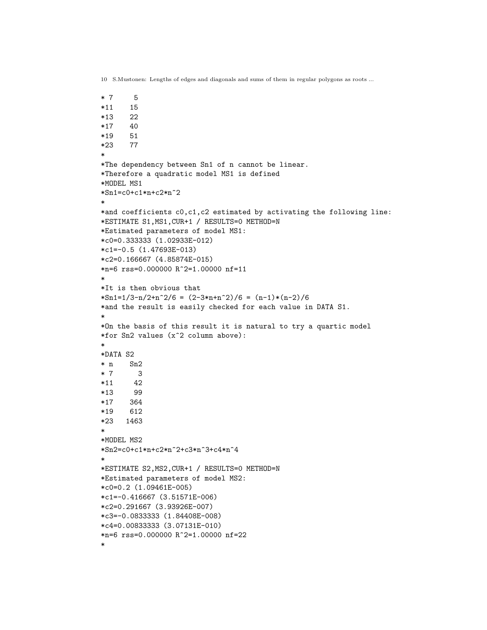```
* 7 5
*11 15
*13 22
*17 40
*19 51
*23 77
*
*The dependency between Sn1 of n cannot be linear.
*Therefore a quadratic model MS1 is defined
*MODEL MS1
*Sn1=c0+c1*n+c2*n^2
*
*and coefficients c0,c1,c2 estimated by activating the following line:
*ESTIMATE S1,MS1,CUR+1 / RESULTS=0 METHOD=N
*Estimated parameters of model MS1:
*c0=0.333333 (1.02933E-012)
*c1=-0.5 (1.47693E-013)
*c2=0.166667 (4.85874E-015)
*n=6 rss=0.000000 R<sup>^2=1.00000</sup> nf=11
*
*It is then obvious that
*\text{Sn1=1/3-n/2+n^2/6} = (2-3*n+n^2)/6 = (n-1)*(n-2)/6*and the result is easily checked for each value in DATA S1.
*
*On the basis of this result it is natural to try a quartic model
*for Sn2 values (x^2 column above):
*
*DATA S2
* n Sn2
* 7 3
*11 42
*13 99
*17 364
*19 612
*23 1463
*
*MODEL MS2
*Sn2=c0+c1*n+c2*n^2+c3*n^3+c4*n^4
*
*ESTIMATE S2,MS2,CUR+1 / RESULTS=0 METHOD=N
*Estimated parameters of model MS2:
*c0=0.2 (1.09461E-005)
*c1=-0.416667 (3.51571E-006)
*c2=0.291667 (3.93926E-007)
*c3=-0.0833333 (1.84408E-008)
*c4=0.00833333 (3.07131E-010)
*n=6 rss=0.000000 R^2=1.00000 nf=22
```
\*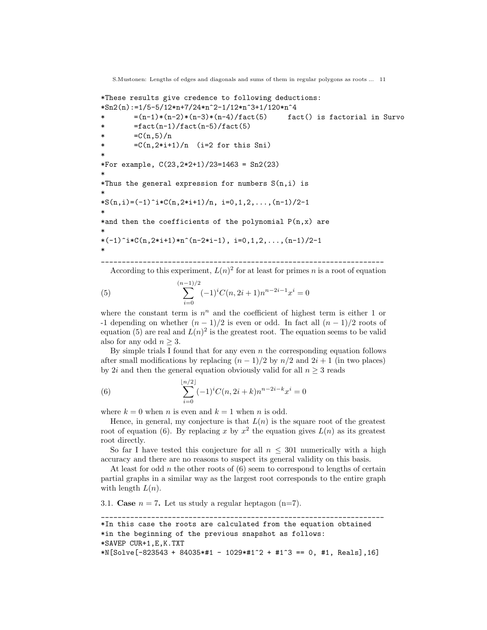```
*These results give credence to following deductions:
*\text{Sn2}(n):=1/5-5/12*n+7/24*n^2-1/12*n^3+1/120*n^4* =(n-1)*(n-2)*(n-3)*(n-4)/fact(5) fact() is factorial in Survo
* = = fact(n-1)/ fact(n-5)/ fact(5)* =C(n,5)/n* =C(n,2*i+1)/n (i=2 for this Sni)
*
*For example, C(23,2*2+1)/23=1463 = Sn2(23)
*
*Thus the general expression for numbers S(n,i) is
*
*S(n,i)=(-1)^{i}*C(n,2*+1)/n, i=0,1,2,\ldots,(n-1)/2-1*
*and then the coefficients of the polynomial P(n,x) are
*
*(-1)^i *C(n,2*i+1)*n^(n-2*i-1), i=0,1,2,...,(n-1)/2-1*
```
\_\_\_\_\_\_\_\_\_\_\_\_\_\_\_\_\_\_\_\_\_\_\_\_\_\_\_\_\_\_\_\_\_\_\_\_\_\_\_\_\_\_\_\_\_\_\_\_\_\_\_\_\_\_\_\_\_\_\_\_\_\_\_\_\_\_\_\_ According to this experiment,  $L(n)^2$  for at least for primes n is a root of equation

(5) 
$$
\sum_{i=0}^{(n-1)/2} (-1)^i C(n, 2i+1) n^{n-2i-1} x^i = 0
$$

where the constant term is  $n^n$  and the coefficient of highest term is either 1 or -1 depending on whether  $(n-1)/2$  is even or odd. In fact all  $(n-1)/2$  roots of equation (5) are real and  $L(n)^2$  is the greatest root. The equation seems to be valid also for any odd  $n \geq 3$ .

By simple trials I found that for any even  $n$  the corresponding equation follows after small modifications by replacing  $(n - 1)/2$  by  $n/2$  and  $2i + 1$  (in two places) by 2i and then the general equation obviously valid for all  $n \geq 3$  reads

(6) 
$$
\sum_{i=0}^{\lfloor n/2 \rfloor} (-1)^i C(n, 2i+k) n^{n-2i-k} x^i = 0
$$

where  $k = 0$  when n is even and  $k = 1$  when n is odd.

Hence, in general, my conjecture is that  $L(n)$  is the square root of the greatest root of equation (6). By replacing x by  $x^2$  the equation gives  $L(n)$  as its greatest root directly.

So far I have tested this conjecture for all  $n \leq 301$  numerically with a high accuracy and there are no reasons to suspect its general validity on this basis.

At least for odd  $n$  the other roots of  $(6)$  seem to correspond to lengths of certain partial graphs in a similar way as the largest root corresponds to the entire graph with length  $L(n)$ .

3.1. Case  $n = 7$ . Let us study a regular heptagon (n=7).

```
____________________________________________________________________
*In this case the roots are calculated from the equation obtained
*in the beginning of the previous snapshot as follows:
*SAVEP CUR+1,E,K.TXT
N[Solve[-823543 + 84035* #1 - 1029* #1^2 + #1^3 = 0, #1, Reals],16]
```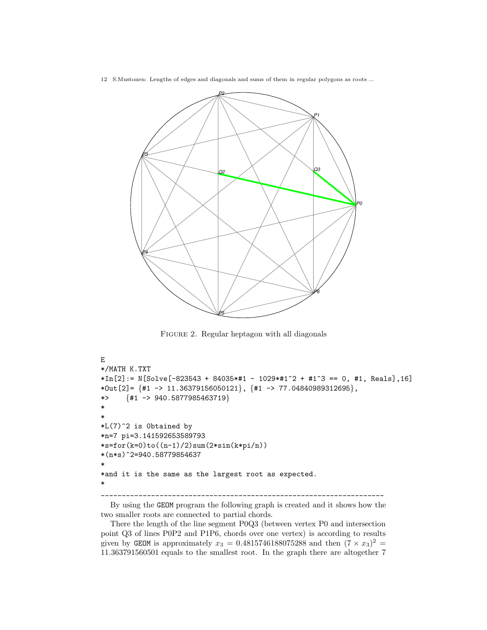

FIGURE 2. Regular heptagon with all diagonals

```
E
*/MATH K.TXT
*In[2]: = N[Solve[-823543 + 84035**11 - 1029**11^2 + 41^3 - 0, 41, Reals],16]*Out[2]= \{ \#1 \to 11.36379156050121 \}, \{ \#1 \to 77.04840989312695 \}, *> \{ \#1 \to 940.5877985463719 \}{#1 \rightarrow 940.5877985463719}*
*
*L(7)^2 is 0btained by
*n=7 pi=3.141592653589793
*s=for(k=0)to((n-1)/2)sum(2*sin(k*pi/n))
*(n*s)^2=940.58779854637
*
*and it is the same as the largest root as expected.
*
____________________________________________________________________
```
By using the GEOM program the following graph is created and it shows how the two smaller roots are connected to partial chords.

There the length of the line segment P0Q3 (between vertex P0 and intersection point Q3 of lines P0P2 and P1P6, chords over one vertex) is according to results given by GEOM is approximately  $x_3 = 0.4815746188075288$  and then  $(7 \times x_3)^2$ 11.363791560501 equals to the smallest root. In the graph there are altogether 7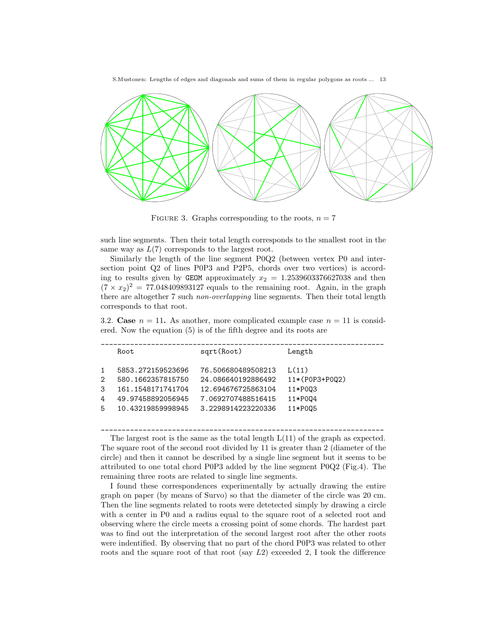

FIGURE 3. Graphs corresponding to the roots,  $n = 7$ 

such line segments. Then their total length corresponds to the smallest root in the same way as  $L(7)$  corresponds to the largest root.

Similarly the length of the line segment P0Q2 (between vertex P0 and intersection point Q2 of lines P0P3 and P2P5, chords over two vertices) is according to results given by GEOM approximately  $x_2 = 1.2539603376627038$  and then  $(7 \times x_2)^2 = 77.048409893127$  equals to the remaining root. Again, in the graph there are altogether 7 such non-overlapping line segments. Then their total length corresponds to that root.

3.2. Case  $n = 11$ . As another, more complicated example case  $n = 11$  is considered. Now the equation (5) is of the fifth degree and its roots are

|                              | Root.                                                                                                 | sqrt(Root)                                                                                                 | Length                                                   |
|------------------------------|-------------------------------------------------------------------------------------------------------|------------------------------------------------------------------------------------------------------------|----------------------------------------------------------|
| $\mathcal{D}$<br>3<br>4<br>5 | 5853.272159523696<br>580.1662357815750<br>161.1548171741704<br>49.97458892056945<br>10.43219859998945 | 76.506680489508213<br>24.086640192886492<br>12.694676725863104<br>7.0692707488516415<br>3.2298914223220336 | L(11)<br>11*(P0P3+P002)<br>11*P003<br>11*P004<br>11*P005 |
|                              |                                                                                                       |                                                                                                            |                                                          |

\_\_\_\_\_\_\_\_\_\_\_\_\_\_\_\_\_\_\_\_\_\_\_\_\_\_\_\_\_\_\_\_\_\_\_\_\_\_\_\_\_\_\_\_\_\_\_\_\_\_\_\_\_\_\_\_\_\_\_\_\_\_\_\_\_\_\_\_ The largest root is the same as the total length  $L(11)$  of the graph as expected. The square root of the second root divided by 11 is greater than 2 (diameter of the circle) and then it cannot be described by a single line segment but it seems to be attributed to one total chord P0P3 added by the line segment P0Q2 (Fig.4). The remaining three roots are related to single line segments.

I found these correspondences experimentally by actually drawing the entire graph on paper (by means of Survo) so that the diameter of the circle was 20 cm. Then the line segments related to roots were detetected simply by drawing a circle with a center in P0 and a radius equal to the square root of a selected root and observing where the circle meets a crossing point of some chords. The hardest part was to find out the interpretation of the second largest root after the other roots were indentified. By observing that no part of the chord P0P3 was related to other roots and the square root of that root (say  $L2$ ) exceeded 2, I took the difference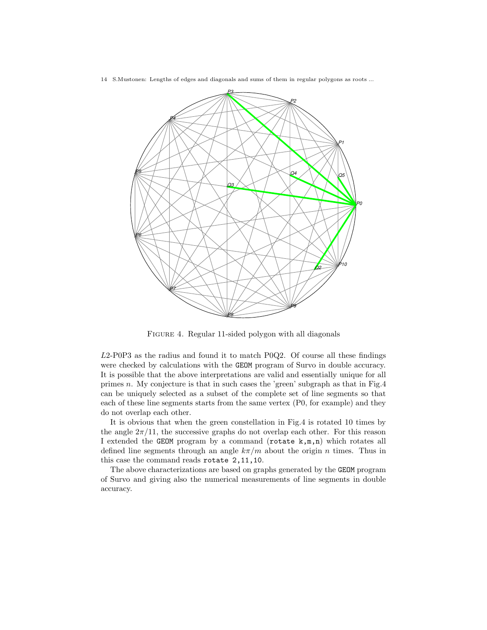

FIGURE 4. Regular 11-sided polygon with all diagonals

L2-P0P3 as the radius and found it to match P0Q2. Of course all these findings were checked by calculations with the GEOM program of Survo in double accuracy. It is possible that the above interpretations are valid and essentially unique for all primes n. My conjecture is that in such cases the 'green' subgraph as that in Fig.4 can be uniquely selected as a subset of the complete set of line segments so that each of these line segments starts from the same vertex (P0, for example) and they do not overlap each other.

It is obvious that when the green constellation in Fig.4 is rotated 10 times by the angle  $2\pi/11$ , the successive graphs do not overlap each other. For this reason I extended the GEOM program by a command (rotate k,m,n) which rotates all defined line segments through an angle  $k\pi/m$  about the origin n times. Thus in this case the command reads rotate 2,11,10.

The above characterizations are based on graphs generated by the GEOM program of Survo and giving also the numerical measurements of line segments in double accuracy.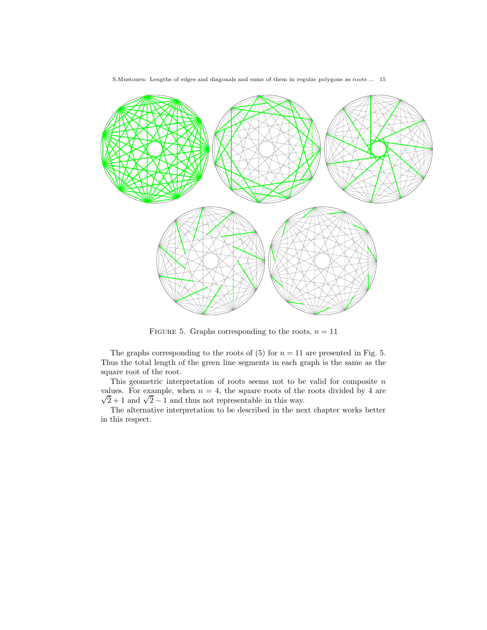

FIGURE 5. Graphs corresponding to the roots,  $n = 11$ 

The graphs corresponding to the roots of  $(5)$  for  $n = 11$  are presented in Fig. 5. Thus the total length of the green line segments in each graph is the same as the square root of the root.

This geometric interpretation of roots seems not to be valid for composite  $n$  $\sqrt{2}+1$  and  $\sqrt{2}-1$  and thus not representable in this way. values. For example, when  $n = 4$ , the square roots of the roots divided by 4 are

The alternative interpretation to be described in the next chapter works better in this respect.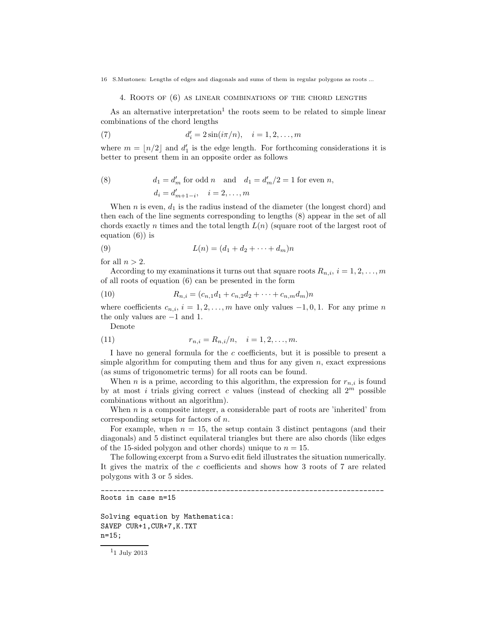4. Roots of (6) as linear combinations of the chord lengths

As an alternative interpretation<sup>1</sup> the roots seem to be related to simple linear combinations of the chord lengths

(7) 
$$
d'_i = 2\sin(i\pi/n), \quad i = 1, 2, ..., m
$$

where  $m = \lfloor n/2 \rfloor$  and  $d'_1$  is the edge length. For forthcoming considerations it is better to present them in an opposite order as follows

(8) 
$$
d_1 = d'_m
$$
 for odd *n* and  $d_1 = d'_m/2 = 1$  for even *n*,  
\n $d_i = d'_{m+1-i}, \quad i = 2, ..., m$ 

When  $n$  is even,  $d_1$  is the radius instead of the diameter (the longest chord) and then each of the line segments corresponding to lengths (8) appear in the set of all chords exactly n times and the total length  $L(n)$  (square root of the largest root of equation (6)) is

(9) 
$$
L(n) = (d_1 + d_2 + \dots + d_m)n
$$

for all  $n > 2$ .

According to my examinations it turns out that square roots  $R_{n,i}$ ,  $i = 1, 2, ..., m$ of all roots of equation (6) can be presented in the form

(10) 
$$
R_{n,i} = (c_{n,1}d_1 + c_{n,2}d_2 + \cdots + c_{n,m}d_m)n
$$

where coefficients  $c_{n,i}$ ,  $i = 1, 2, ..., m$  have only values  $-1, 0, 1$ . For any prime n the only values are −1 and 1.

Denote

(11) 
$$
r_{n,i} = R_{n,i}/n, \quad i = 1, 2, ..., m.
$$

I have no general formula for the  $c$  coefficients, but it is possible to present a simple algorithm for computing them and thus for any given  $n$ , exact expressions (as sums of trigonometric terms) for all roots can be found.

When n is a prime, according to this algorithm, the expression for  $r_{n,i}$  is found by at most i trials giving correct c values (instead of checking all  $2^m$  possible combinations without an algorithm).

When  $n$  is a composite integer, a considerable part of roots are 'inherited' from corresponding setups for factors of n.

For example, when  $n = 15$ , the setup contain 3 distinct pentagons (and their diagonals) and 5 distinct equilateral triangles but there are also chords (like edges of the 15-sided polygon and other chords) unique to  $n = 15$ .

The following excerpt from a Survo edit field illustrates the situation numerically. It gives the matrix of the c coefficients and shows how 3 roots of 7 are related polygons with 3 or 5 sides.

\_\_\_\_\_\_\_\_\_\_\_\_\_\_\_\_\_\_\_\_\_\_\_\_\_\_\_\_\_\_\_\_\_\_\_\_\_\_\_\_\_\_\_\_\_\_\_\_\_\_\_\_\_\_\_\_\_\_\_\_\_\_\_\_\_\_\_\_

```
Roots in case n=15
```

```
Solving equation by Mathematica:
SAVEP CUR+1,CUR+7,K.TXT
n=15;
```
 $^{\rm 11}$  July 2013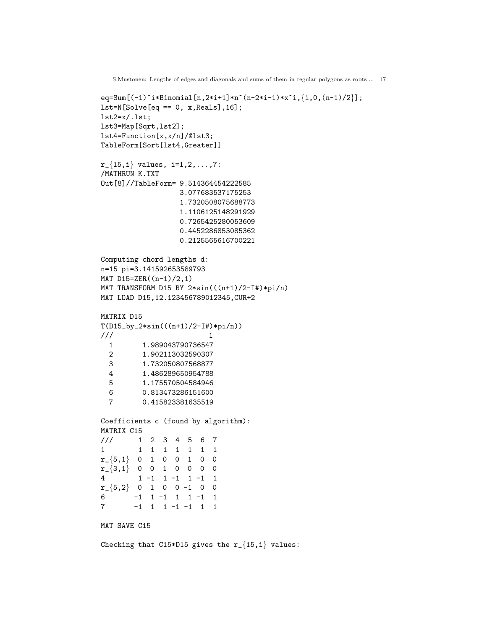```
S.Mustonen: Lengths of edges and diagonals and sums of them in regular polygons as roots ... 17
eq=Sum[(-1)^i*Binomial[n,2*i+1]*n^(n-2*i-1)*x^i,{i,0,(n-1)/2}];
lst=N[Solve[eq == 0, x, Reals], 16];lst2=x/.lst;
lst3=Map[Sqrt,lst2];
lst4=Function[x,x/n]/@lst3;
TableForm[Sort[lst4,Greater]]
r_{-}{15,i} values, i=1,2,...,7:
/MATHRUN K.TXT
Out[8]//TableForm= 9.514364454222585
                  3.077683537175253
                  1.7320508075688773
                   1.1106125148291929
                   0.7265425280053609
                   0.4452286853085362
                   0.2125565616700221
Computing chord lengths d:
n=15 pi=3.141592653589793
MAT D15=ZER((n-1)/2,1)
MAT TRANSFORM D15 BY 2*sin(((n+1)/2-I#)*pi/n)
MAT LOAD D15,12.123456789012345,CUR+2
MATRIX D15
T(D15_by_2*sin(((n+1)/2-I#)*pi/n))\frac{1}{1} 1
  1 1.989043790736547
  2 1.902113032590307
  3 1.732050807568877
  4 1.486289650954788
  5 1.175570504584946
  6 0.813473286151600
  7 0.415823381635519
Coefficients c (found by algorithm):
MATRIX C15
/// 1 2 3 4 5 6 7
1 1 1 1 1 1 1 1
r_{-}\{5,1\} 0 1 0 0 1 0 0
r_{-}{3,1} 0 0 1 0 0 0 0<br>4 1 -1 1 -1 1 -1 1
        1 -1 1 -1 1 -1 1r_{-}\{5,2\} 0 1 0 0 -1 0 0<br>6 -1 1 -1 1 1 -1 1
       -1 1 -1 1 1 -1 1
7 -1 1 1 -1 -1 1 1
MAT SAVE C15
Checking that C15*D15 gives the r_{-}{15,i} values:
```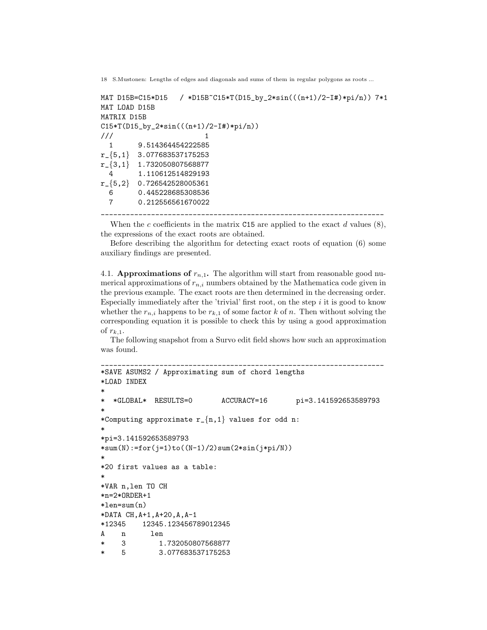```
MAT D15B=C15*D15 / *D15B~C15*T(D15_by_2*sin(((n+1)/2-I#)*pi/n)) 7*1
MAT LOAD D15B
MATRIX D15B
C15*T(D15_by_2*sin(((n+1)/2-I#)*pi/n))
\frac{1}{1} 1
  1 9.514364454222585
r_{-}{5,1} 3.077683537175253
r_{\text{=}}\{3,1\} 1.732050807568877<br>1.110612514829193
          4 1.110612514829193
r_{-}{5,2} 0.726542528005361<br>6 0.445228685308536
           6 0.445228685308536
  7 0.212556561670022
              ____________________________________________________________________
```
When the c coefficients in the matrix C15 are applied to the exact d values  $(8)$ , the expressions of the exact roots are obtained.

Before describing the algorithm for detecting exact roots of equation (6) some auxiliary findings are presented.

4.1. **Approximations of**  $r_{n,1}$ **.** The algorithm will start from reasonable good numerical approximations of  $r_{n,i}$  numbers obtained by the Mathematica code given in the previous example. The exact roots are then determined in the decreasing order. Especially immediately after the 'trivial' first root, on the step  $i$  it is good to know whether the  $r_{n,i}$  happens to be  $r_{k,1}$  of some factor k of n. Then without solving the corresponding equation it is possible to check this by using a good approximation of  $r_{k,1}$ .

The following snapshot from a Survo edit field shows how such an approximation was found.

```
____________________________________________________________________
*SAVE ASUMS2 / Approximating sum of chord lengths
*LOAD INDEX
*
  * *GLOBAL* RESULTS=0 ACCURACY=16 pi=3.141592653589793
*
*Computing approximate r_{n,1} values for odd n:
*
*pi=3.141592653589793
*sum(N):=for(j=1)to((N-1)/2)sum(2*sin(j*pi/N))*
*20 first values as a table:
*
*VAR n,len TO CH
*n=2*ORDER+1
*len=sum(n)
*DATA CH,A+1,A+20,A,A-1
*12345 12345.123456789012345
A n len
* 3 1.732050807568877
* 5 3.077683537175253
```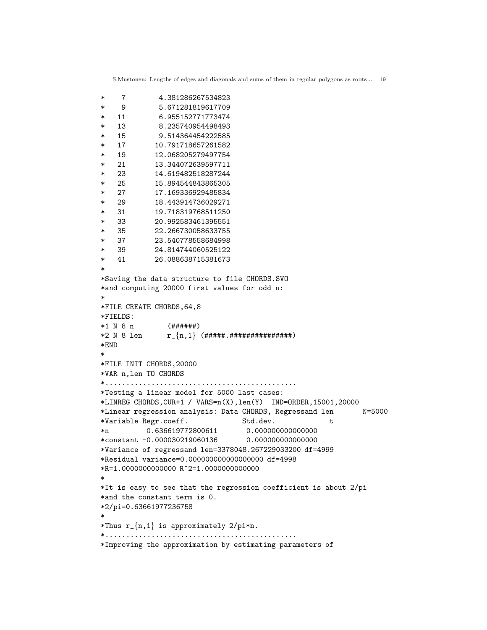```
* 7 4.381286267534823
* 9 5.671281819617709
* 11 6.955152771773474
* 13 8.235740954498493
* 15 9.514364454222585
* 17 10.791718657261582
* 19 12.068205279497754
* 21 13.344072639597711
* 23 14.619482518287244
* 25 15.894544843865305
* 27 17.169336929485834
* 29 18.443914736029271
* 31 19.718319768511250
* 33 20.992583461395551
* 35 22.266730058633755
* 37 23.540778558684998
* 39 24.814744060525122
* 41 26.088638715381673
*
*Saving the data structure to file CHORDS.SVO
*and computing 20000 first values for odd n:
*
*FILE CREATE CHORDS,64,8
*FIELDS:
*1 N 8 n (######)
*2 N 8 len r_{n,1} (#####.###############)
*END
*
*FILE INIT CHORDS,20000
*VAR n,len TO CHORDS
*..............................................
*Testing a linear model for 5000 last cases:
*LINREG CHORDS,CUR+1 / VARS=n(X),len(Y) IND=ORDER,15001,20000
*Linear regression analysis: Data CHORDS, Regressand len N=5000
*Variable Regr.coeff. Std.dev. t
*n 0.636619772800611 0.000000000000000
*constant -0.000030219060136 0.000000000000000
*Variance of regressand len=3378048.267229033200 df=4999
*Residual variance=0.000000000000000000 df=4998
*R=1.0000000000000 R^2=1.0000000000000
*
*It is easy to see that the regression coefficient is about 2/pi
*and the constant term is 0.
*2/pi=0.63661977236758
*
*Thus r_{n-1} is approximately 2/pi*n.
*..............................................
*Improving the approximation by estimating parameters of
```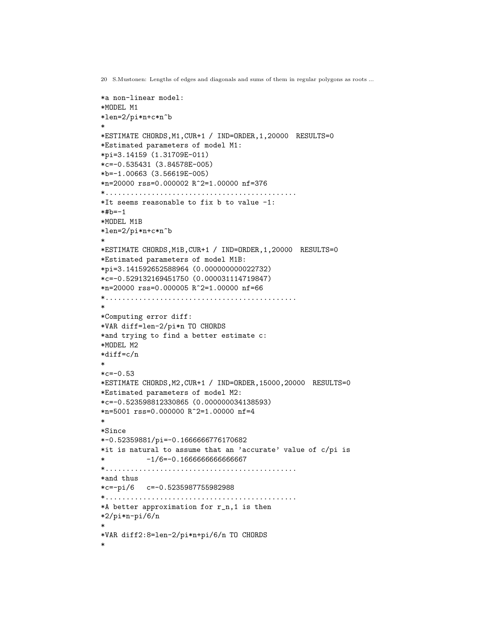```
*a non-linear model:
*MODEL M1
*len=2/pi*n+c*n^b
*
*ESTIMATE CHORDS,M1,CUR+1 / IND=ORDER,1,20000 RESULTS=0
*Estimated parameters of model M1:
*pi=3.14159 (1.31709E-011)
*c=-0.535431 (3.84578E-005)
*b=-1.00663 (3.56619E-005)
*n=20000 rss=0.000002 R^2=1.00000 nf=376
*..............................................
*It seems reasonable to fix b to value -1:
*#b=-1*MODEL M1B
*len=2/pi*n+c*n^b
*
*ESTIMATE CHORDS,M1B,CUR+1 / IND=ORDER,1,20000 RESULTS=0
*Estimated parameters of model M1B:
*pi=3.141592652588964 (0.000000000022732)
*c=-0.529132169451750 (0.000031114719847)
*n=20000 rss=0.000005 R^2=1.00000 nf=66
*..............................................
*
*Computing error diff:
*VAR diff=len-2/pi*n TO CHORDS
*and trying to find a better estimate c:
*MODEL M2
*diff=c/n
*
*c=-0.53*ESTIMATE CHORDS,M2,CUR+1 / IND=ORDER,15000,20000 RESULTS=0
*Estimated parameters of model M2:
*c=-0.523598812330865 (0.000000034138593)
*n=5001 rss=0.000000 R^2=1.00000 nf=4
*
*Since
*-0.52359881/pi=-0.1666666776170682
*it is natural to assume that an 'accurate' value of c/pi is
* -1/6=-0.1666666666666667
*..............................................
*and thus
*c=-pi/6 c=-0.5235987755982988
*..............................................
*A better approximation for r_n,1 is then
*2/pi*n-pi/6/n
*
*VAR diff2:8=len-2/pi*n+pi/6/n TO CHORDS
*
```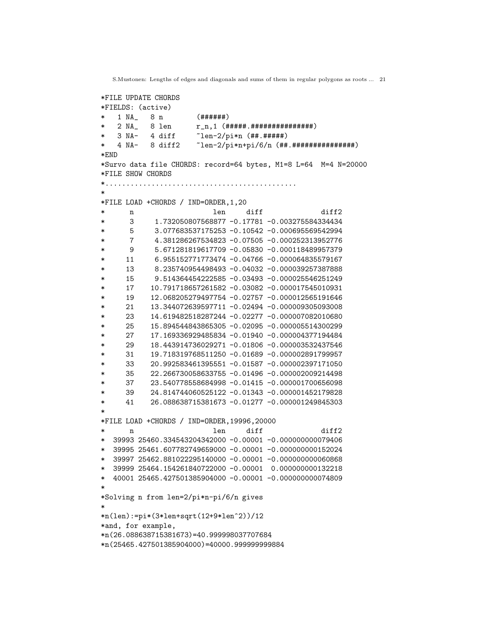```
*FILE UPDATE CHORDS
*FIELDS: (active)
   1 NA_ 8 n (######)
   * 2 NA_ 8 len r_n,1 (#####.###############)
   3 NA- 4 diff \text{len}-2\text{pi}*\text{n} (##.#####)
* 4 NA- 8 diff2 ~len-2/pi*n+pi/6/n (##.###############)
*END
*Survo data file CHORDS: record=64 bytes, M1=8 L=64 M=4 N=20000
*FILE SHOW CHORDS
*..............................................
*
*FILE LOAD +CHORDS / IND=ORDER,1,20
* n len diff diff2
* 3 1.732050807568877 -0.17781 -0.003275584334434
* 5 3.077683537175253 -0.10542 -0.000695569542994
* 7 4.381286267534823 -0.07505 -0.000252313952776
* 9 5.671281819617709 -0.05830 -0.000118489957379
* 11 6.955152771773474 -0.04766 -0.000064835579167
* 13 8.235740954498493 -0.04032 -0.000039257387888
* 15 9.514364454222585 -0.03493 -0.000025546251249
* 17 10.791718657261582 -0.03082 -0.000017545010931
* 19 12.068205279497754 -0.02757 -0.000012565191646
* 21 13.344072639597711 -0.02494 -0.000009305093008
* 23 14.619482518287244 -0.02277 -0.000007082010680
* 25 15.894544843865305 -0.02095 -0.000005514300299
* 27 17.169336929485834 -0.01940 -0.000004377194484
* 29 18.443914736029271 -0.01806 -0.000003532437546
* 31 19.718319768511250 -0.01689 -0.000002891799957
* 33 20.992583461395551 -0.01587 -0.000002397171050
* 35 22.266730058633755 -0.01496 -0.000002009214498
* 37 23.540778558684998 -0.01415 -0.000001700656098
* 39 24.814744060525122 -0.01343 -0.000001452179828
* 41 26.088638715381673 -0.01277 -0.000001249845303
*
*FILE LOAD +CHORDS / IND=ORDER,19996,20000
* n len diff diff2
* 39993 25460.334543204342000 -0.00001 -0.000000000079406
* 39995 25461.607782749659000 -0.00001 -0.000000000152024
* 39997 25462.881022295140000 -0.00001 -0.000000000060868
* 39999 25464.154261840722000 -0.00001 0.000000000132218
* 40001 25465.427501385904000 -0.00001 -0.000000000074809
*
*Solving n from len=2/pi*n-pi/6/n gives
*
*n(len):=pi*(3*len+sqrt(12+9*len^2))/12
*and, for example,
*n(26.088638715381673)=40.999998037707684
*n(25465.427501385904000)=40000.999999999884
```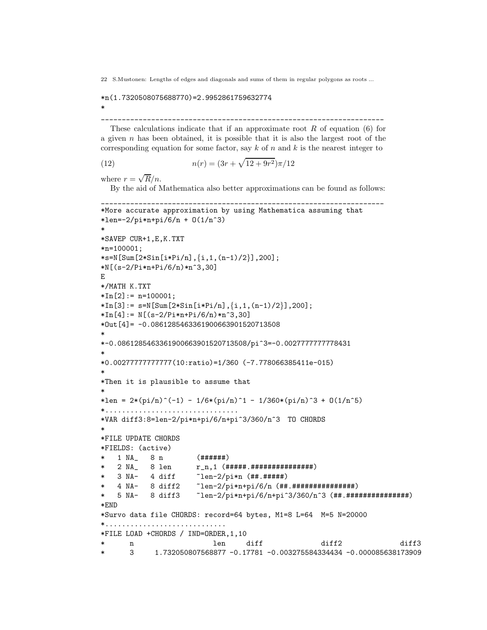# \*n(1.7320508075688770)=2.9952861759632774

\_\_\_\_\_\_\_\_\_\_\_\_\_\_\_\_\_\_\_\_\_\_\_\_\_\_\_\_\_\_\_\_\_\_\_\_\_\_\_\_\_\_\_\_\_\_\_\_\_\_\_\_\_\_\_\_\_\_\_\_\_\_\_\_\_\_\_\_

These calculations indicate that if an approximate root  $R$  of equation (6) for a given  $n$  has been obtained, it is possible that it is also the largest root of the corresponding equation for some factor, say  $k$  of n and  $k$  is the nearest integer to

(12) 
$$
n(r) = (3r + \sqrt{12 + 9r^2})\pi/12
$$

where  $r = \sqrt{R}/n$ .

\*

By the aid of Mathematica also better approximations can be found as follows:

\_\_\_\_\_\_\_\_\_\_\_\_\_\_\_\_\_\_\_\_\_\_\_\_\_\_\_\_\_\_\_\_\_\_\_\_\_\_\_\_\_\_\_\_\_\_\_\_\_\_\_\_\_\_\_\_\_\_\_\_\_\_\_\_\_\_\_\_

```
*More accurate approximation by using Mathematica assuming that
*len=-2/pi*n+pi/6/n + O(1/n^3)
*
*SAVEP CUR+1,E,K.TXT
*n=100001;
*s=N[Sum[2*Sin[i*Pi/n],\{i,1,(n-1)/2\}],200];
*N[(s-2/Pi*n+Pi/6/n)*n^3,30]
E
*/MATH K.TXT
*In[2]: = n=100001;*In[3]: = s=N[Sum[2*Sin[i*Pi/n], {i,1,(n-1)/2}], 200];*In[4]: = N[(s-2/Pi*n+Pi/6/n)*n^3,30]*Out[4]= -0.0861285463361900663901520713508
*
*-0.0861285463361900663901520713508/pi^3=-0.0027777777778431
*
*0.00277777777777(10:ratio)=1/360 (-7.778066385411e-015)
*
*Then it is plausible to assume that
*
*len = 2*(pi/n)^(-1) - 1/6*(pi/n)^1 - 1/360*(pi/n)^3 + 0(1/n^5)*................................
*VAR diff3:8=len-2/pi*n+pi/6/n+pi^3/360/n^3 TO CHORDS
*
*FILE UPDATE CHORDS
*FIELDS: (active)
   1 NA_ 8 n (######)
   * 2 NA_ 8 len r_n,1 (#####.###############)
  3 NA- 4 diff \tilde{} an-2/pi*n (##.#####)
  4 NA- 8 diff2  ~len-2/pi*n+pi/6/n (##.#################
* 5 NA- 8 diff3 ~len-2/pi*n+pi/6/n+pi^3/360/n^3 (##.#################
*END
*Survo data file CHORDS: record=64 bytes, M1=8 L=64 M=5 N=20000
*.............................
*FILE LOAD +CHORDS / IND=ORDER,1,10
* n len diff diff2 diff3
* 3 1.732050807568877 -0.17781 -0.003275584334434 -0.000085638173909
```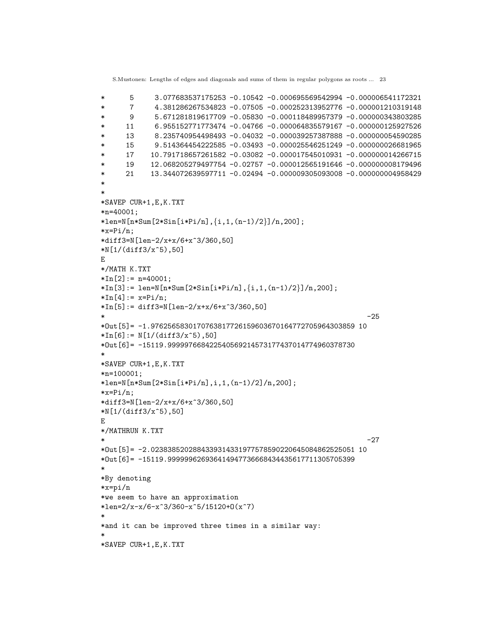```
* 5 3.077683537175253 -0.10542 -0.000695569542994 -0.000006541172321
* 7 4.381286267534823 -0.07505 -0.000252313952776 -0.000001210319148
* 9 5.671281819617709 -0.05830 -0.000118489957379 -0.000000343803285
* 11 6.955152771773474 -0.04766 -0.000064835579167 -0.000000125927526
* 13 8.235740954498493 -0.04032 -0.000039257387888 -0.000000054590285
* 15 9.514364454222585 -0.03493 -0.000025546251249 -0.000000026681965
* 17 10.791718657261582 -0.03082 -0.000017545010931 -0.000000014266715
* 19 12.068205279497754 -0.02757 -0.000012565191646 -0.000000008179496
* 21 13.344072639597711 -0.02494 -0.000009305093008 -0.000000004958429
*
*
*SAVEP CUR+1,E,K.TXT
*n=40001;
*len=N[n*Sum[2*Sin[i*Pi/n], {i,1,(n-1)/2}] / n,200];
*x=Pi/n;*diff3=N[len-2/x+x/6+x^3/360,50]
*N[1/(diff3/x^5),50]
E
*/MATH K.TXT
*In[2]: = n=40001;*In[3]: = len=N[n*Sum[2*Sin[i*Pi/n], {i,1,(n-1)/2}] / n,200];*In[4]: = x=Pi/n;*In[5]:= diff3=N[len-2/x+x/6+x^3/360,50]* -25
*Out[5]= -1.9762565830170763817726159603670164772705964303859 10
*In[6]: = N[1/(diff3/x<sup>5</sup>),50]*Out[6]= -15119.999997668422540569214573177437014774960378730
*
*SAVEP CUR+1,E,K.TXT
*n=100001;
*len=N[n*Sum[2*Sin[i*Pi/n],i,1,(n-1)/2]/n,200];
*x=Pi/n:
*diff3=N[len-2/x+x/6+x^3/360,50]
*N[1/(diff3/x^5),50]
E
*/MATHRUN K.TXT
* -27
*Out[5]= -2.0238385202884339314331977578590220645084862525051 10
*Out[6]= -15119.999999626936414947736668434435617711305705399
*
*By denoting
*x=pi/n
*we seem to have an approximation
*len=2/x-x/6-x^3/360-x^5/15120+0(x^7)*
*and it can be improved three times in a similar way:
*
*SAVEP CUR+1,E,K.TXT
```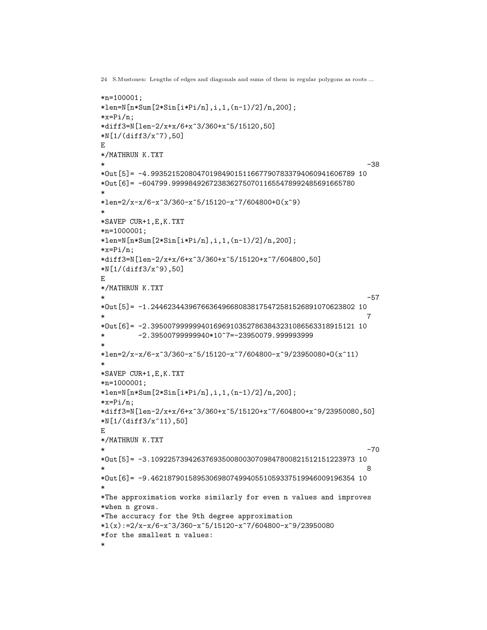```
*n=100001;
*len=N[n*Sum[2*Sin[i*Pi/n],i,1,(n-1)/2]/n,200];
*x=Pi/n;*diff3=N[len-2/x+x/6+x^3/360+x^5/15120,50]
*N[1/(diff3/x^7),50]
E
*/MATHRUN K.TXT
* -38
*Out[5]= -4.9935215208047019849015116677907833794060941606789 10
*Out[6]= -604799.99998492672383627507011655478992485691665780
*
*len=2/x-x/6-x^3/360-x^5/15120-x^7/604800+O(x^9)*
*SAVEP CUR+1,E,K.TXT
*n=1000001;
*len=N[n*Sum[2*Sin[i*Pi/n],i,1,(n-1)/2]/n,200];
*x=Pi/n;*diff3=N[len-2/x+x/6+x^3/360+x^5/15120+x^7/604800,50]
*N[1/(diff3/x^9),50]
E
*/MATHRUN K.TXT
* -57
*Out[5]= -1.2446234439676636496680838175472581526891070623802 10
* 7
*Out[6]= -2.3950079999994016969103527863843231086563318915121 10
* -2.39500799999940*10^7=-23950079.999993999
*
*len=2/x-x/6-x^3/360-x^5/15120-x^7/604800-x^9/23950080+O(x^11)
*
*SAVEP CUR+1,E,K.TXT
*n=1000001;
*len=N[n*Sum[2*Sin[i*Pi/n],i,1,(n-1)/2]/n,200];
*x=Pi/n;*diff3=N[len-2/x+x/6+x^3/360+x^5/15120+x^7/604800+x^9/23950080,50]
*N[1/(diff3/x^11),50]E
*/MATHRUN K.TXT
* -70
*Out[5]= -3.1092257394263769350080030709847800821512151223973 10
* 8
*Out[6]= -9.4621879015895306980749940551059337519946009196354 10
*
*The approximation works similarly for even n values and improves
*when n grows.
*The accuracy for the 9th degree approximation
*l(x):=2/x-x/6-x^3/360-x^5/15120-x^7/604800-x^9/23950080*for the smallest n values:
*
```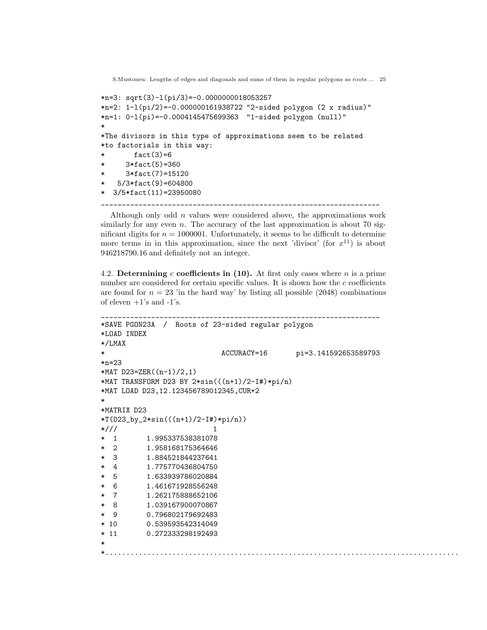```
S.Mustonen: Lengths of edges and diagonals and sums of them in regular polygons as roots ... 25
*n=3: sqrt(3)-l(pi/3)=-0.0000000018053257
*n=2: 1-l(pi/2)=-0.000000161938722 "2-sided polygon (2 x radius)"
*n=1: 0-l(pi)=-0.0004145475699363 "1-sided polygon (null)"
*
*The divisors in this type of approximations seem to be related
*to factorials in this way:
        fact(3)=6* 3*fact(5)=360
      3*fact(7)=15120
  5/3*fact(9)=604800
* 3/5*fact(11)=23950080
                    ___________________________________________________________________
```
Although only odd  $n$  values were considered above, the approximations work similarly for any even  $n$ . The accuracy of the last approximation is about 70 significant digits for  $n = 1000001$ . Unfortunately, it seems to be difficult to determine more terms in in this approximation, since the next 'divisor' (for  $x^{11}$ ) is about 946218790.16 and definitely not an integer.

4.2. Determining c coefficients in  $(10)$ . At first only cases where n is a prime number are considered for certain specific values. It is shown how the  $c$  coefficients are found for  $n = 23$  'in the hard way' by listing all possible (2048) combinations of eleven  $+1$ 's and  $-1$ 's.

```
___________________________________________________________________
*SAVE PGON23A / Roots of 23-sided regular polygon
*LOAD INDEX
*/LMAX
                          ACCURACY=16 pi=3.141592653589793
*n=23
*MAT D23=ZER((n-1)/2,1)
*MAT TRANSFORM D23 BY 2*sin(((n+1)/2-I#)*pi/n)
*MAT LOAD D23,12.123456789012345,CUR+2
*
*MATRIX D23
*T(D23_by_2*sin(((n+1)/2-I#)*pi/n))
*/// 1
* 1 1.995337538381078
 2 1.958168175364646
  3 1.884521844237641
* 4 1.775770436804750
* 5 1.633939786020884
 6 1.461671928556248
  7 1.262175888652106
 8 1.039167900070867
 9 0.796802179692483
* 10 0.539593542314049
* 11 0.272333298192493
*
*.....................................................................................
```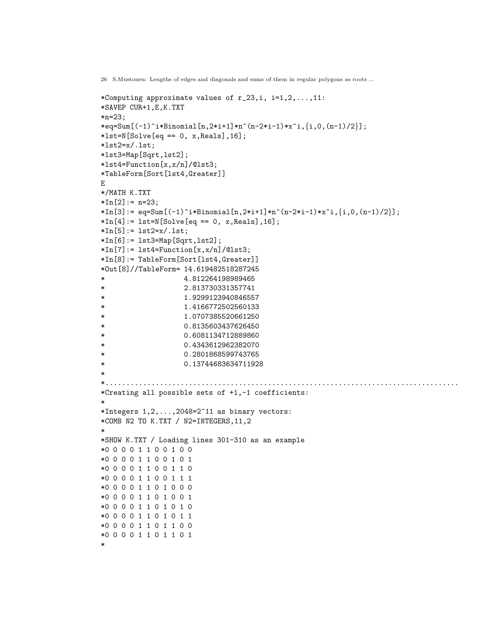```
*Computing approximate values of r_2, i, i=1,2,\ldots,11:
*SAVEP CUR+1,E,K.TXT
*n=23;
*eq=Sum[(-1)^i*Binomial[n,2*i+1]*n^(n-2*i-1)*x^i,\{i,0,(n-1)/2\}];
*lst=N[Solve[eq == 0, x, Reals], 16];*lst2=x/.lst;*lst3=Map[Sqrt,lst2];
*lst4=Function[x,x/n]/@lst3;
*TableForm[Sort[lst4,Greater]]
E
*/MATH K.TXT
*In[2]: = n=23;*\ln[3]: = \text{eq}=\text{Sum}[(-1)^{i}*\text{Binomial}[n,2*i+1]*n^{i}-(n-2*i-1)*x^{i},\{i,0,(n-1)/2\}];*In[4]: = 1st=N[Solve[eq == 0, x, Reals], 16];*In[5]: = 1st2=x/.1st;*In[6]:= lst3=Map[Sqrt,lst2];
*In[7]: = 1st4 = Function[x, x/n]/@lst3;*In[8]:= TableForm[Sort[lst4,Greater]]
*Out[8]//TableForm= 14.619482518287245
* 4.812264198989465
* 2.813730331357741
* 1.9299123940846557
* 1.4166772502560133
* 1.0707385520661250
* 0.8135603437626450
* 0.6081134712889860
* 0.4343612962382070
* 0.2801868599743765
* 0.13744683634711928
*
*.....................................................................................
*Creating all possible sets of +1,-1 coefficients:
*
*Integers 1, 2, \ldots, 2048 = 2^11 as binary vectors:
*COMB N2 TO K.TXT / N2=INTEGERS,11,2
*
*SHOW K.TXT / Loading lines 301-310 as an example
*0 0 0 0 1 1 0 0 1 0 0
*0 0 0 0 1 1 0 0 1 0 1
*0 0 0 0 1 1 0 0 1 1 0
*0 0 0 0 1 1 0 0 1 1 1
*0 0 0 0 1 1 0 1 0 0 0
*0 0 0 0 1 1 0 1 0 0 1
*0 0 0 0 1 1 0 1 0 1 0
*0 0 0 0 1 1 0 1 0 1 1
*0 0 0 0 1 1 0 1 1 0 0
*0 0 0 0 1 1 0 1 1 0 1
*
```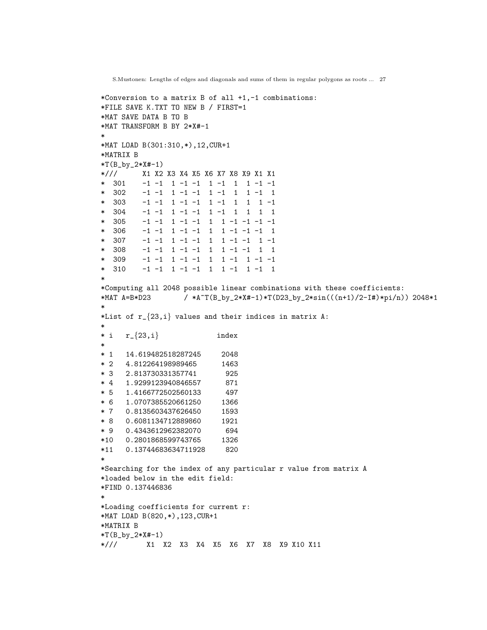```
*Conversion to a matrix B of all +1,-1 combinations:
*FILE SAVE K.TXT TO NEW B / FIRST=1
*MAT SAVE DATA B TO B
*MAT TRANSFORM B BY 2*X#-1
*
*MAT LOAD B(301:310,*),12,CUR+1
*MATRIX B
*T(B_by_2*X#-1)
*/// X1 X2 X3 X4 X5 X6 X7 X8 X9 X1 X1
* 301 -1 -1 1 -1 -1 1 -1 1 1 -1 -1
* 302 -1 -1 1 -1 -1 1 -1 1 1 -1 1
* 303 -1 -1 1 -1 -1 1 -1 1 1 1 -1
* 304 -1 -1 1 -1 -1 1 -1 1 1 1 1
* 305 -1 -1 1 -1 -1 1 1 -1 -1 -1 -1
* 306 -1 -1 1 -1 -1 1 1 -1 -1 -1 1
* 307 -1 -1 1 -1 -1 1 1 -1 -1 1 -1
* 308 -1 -1 1 -1 -1 1 1 -1 -1 1 1
* 309 -1 -1 1 -1 -1 1 1 -1 1 -1 -1
* 310 -1 -1 1 -1 -1 1 1 -1 1 -1 1
*
*Computing all 2048 possible linear combinations with these coefficients:
*MAT A=B*D23 / *A~T(B_by_2*X#-1)*T(D23_by_2*sin(((n+1)/2-I#)*pi/n)) 2048*1
*
*List of r_{23,i} values and their indices in matrix A:
*
* i \t r_{23,i} index
*
* 1 14.619482518287245 2048
* 2 4.812264198989465 1463
* 3 2.813730331357741 925
* 4 1.9299123940846557 871
* 5 1.4166772502560133 497
* 6 1.0707385520661250 1366
* 7 0.8135603437626450 1593
* 8 0.6081134712889860 1921
* 9 0.4343612962382070 694
*10 0.2801868599743765 1326
*11 0.13744683634711928 820
*
*Searching for the index of any particular r value from matrix A
*loaded below in the edit field:
*FIND 0.137446836
*
*Loading coefficients for current r:
*MAT LOAD B(820,*),123,CUR+1
*MATRIX B
*T(B_by_2*X_{+1})*/// X1 X2 X3 X4 X5 X6 X7 X8 X9 X10 X11
```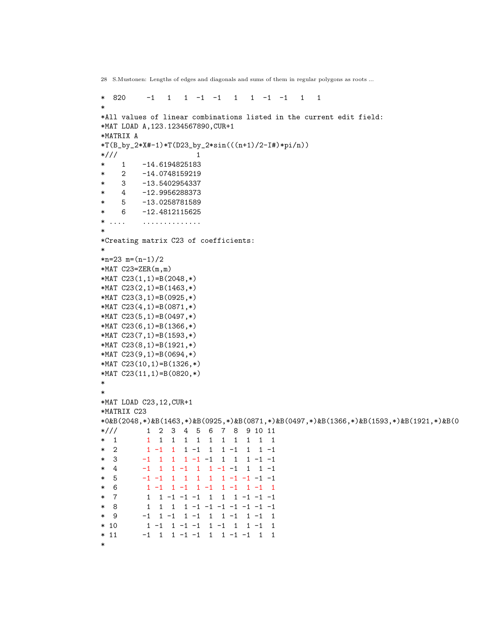```
* 820 -1 1 1 -1 -1 1 1 -1 -1 1 1
*
*All values of linear combinations listed in the current edit field:
*MAT LOAD A,123.1234567890,CUR+1
*MATRIX A
*T(B_by_2*X#-1)*T(D23_by_2*sin(((n+1)/2-I#)*pi/n))
*/// 1
* 1 -14.6194825183
* 2 -14.0748159219
* 3 -13.5402954337
* 4 -12.9956288373
* 5 -13.0258781589
* 6 -12.4812115625
* .... ..............
*
*Creating matrix C23 of coefficients:
*
*n=23 m=(n-1)/2*MAT C23=ZER(m,m)*MAT C23(1,1)=B(2048,*)
*MAT C23(2,1)=B(1463,*)
*MAT C23(3,1)=B(0925,*)
*MAT C23(4,1)=B(0871,*)
*MAT C23(5,1)=B(0497,*)
*MAT C23(6,1)=B(1366,*)
*MAT C23(7,1)=B(1593,*)
*MAT C23(8,1)=B(1921,*)
*MAT C23(9,1)=B(0694,*)
*MAT C23(10,1)=B(1326,*)
*MAT C23(11,1)=B(0820,*)
*
*
*MAT LOAD C23,12,CUR+1
*MATRIX C23
*0&B(2048,*)&B(1463,*)&B(0925,*)&B(0871,*)&B(0497,*)&B(1366,*)&B(1593,*)&B(1921,*)&B(0
*/// 1 2 3 4 5 6 7 8 9 10 11
* 1 1 1 1 1 1 1 1 1 1 1 1
* 2 1 -1 1 1 -1 1 1 -1 1 1 -1
* 3 -1 1 1 1 -1 -1 1 1 1 -1 -1
* 4 -1 1 1 -1 1 1 -1 -1 1 1 -1
* 5 -1 -1 1 1 1 1 1 -1 -1 -1 -1
* 6 1 -1 1 -1 1 -1 1 -1 1 -1 1
* 7 1 1 -1 -1 -1 1 1 1 -1 -1 -1
* 8 1 1 1 1 -1 -1 -1 -1 -1 -1 -1<br>* 9 -1 1 -1 1 -1 1 1 -1 1 -1 1
        -1 1 -1 1 -1 1 1 -1 1 -1 1
* 10 1 -1 1 -1 -1 1 -1 1 1 -1 1
* 11 -1 1 1 -1 -1 1 1 -1 -1 1 1
*
```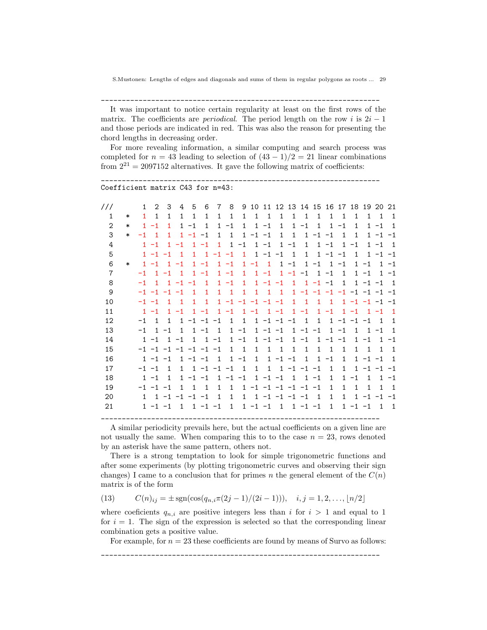\_\_\_\_\_\_\_\_\_\_\_\_\_\_\_\_\_\_\_\_\_\_\_\_\_\_\_\_\_\_\_\_\_\_\_\_\_\_\_\_\_\_\_\_\_\_\_\_\_\_\_\_\_\_\_\_\_\_\_\_\_\_\_\_\_\_\_

It was important to notice certain regularity at least on the first rows of the matrix. The coefficients are *periodical*. The period length on the row i is  $2i - 1$ and those periods are indicated in red. This was also the reason for presenting the chord lengths in decreasing order.

For more revealing information, a similar computing and search process was completed for  $n = 43$  leading to selection of  $(43 - 1)/2 = 21$  linear combinations from  $2^{21} = 2097152$  alternatives. It gave the following matrix of coefficients:

```
___________________________________________________________________
Coefficient matrix C43 for n=43:
```

| 111            |        | 1            | $\overline{2}$                     | 3            | 4              | 5            | 6              | 7              | 8            | 9            | 10                          | 11             | 12                  | 13             | 14             | 15             | 16                  | 17           | 18           | 19                  | 20             | 21             |
|----------------|--------|--------------|------------------------------------|--------------|----------------|--------------|----------------|----------------|--------------|--------------|-----------------------------|----------------|---------------------|----------------|----------------|----------------|---------------------|--------------|--------------|---------------------|----------------|----------------|
| $\mathbf{1}$   | $\ast$ | $\mathbf{1}$ | $\mathbf{1}$                       | $\mathbf{1}$ | $\mathbf{1}$   | $\mathbf{1}$ | $\mathbf{1}$   | $\mathbf{1}$   | $\mathbf{1}$ | $\mathbf{1}$ | $\mathbf{1}$                | $\overline{1}$ | $\mathbf{1}$        | $\mathbf{1}$   | $\mathbf{1}$   | $\mathbf{1}$   | $\mathbf{1}$        | $\mathbf{1}$ | $\mathbf 1$  | 1                   | $\overline{1}$ | $\mathbf{1}$   |
| $\mathbf{2}$   | $\ast$ | $\mathbf{1}$ | $-1$                               | $\mathbf{1}$ | $\mathbf{1}$   | $-1$         | $\mathbf{1}$   | $\mathbf{1}$   | $-1$         | $\mathbf{1}$ | $\mathbf{1}$                | $-1$           | $\mathbf{1}$        | $\mathbf{1}$   | $-1$           | $\mathbf{1}$   | $\mathbf{1}$        | $-1$         | $\mathbf{1}$ |                     | $1 - 1$        | $\mathbf{1}$   |
| 3              | $\ast$ | $-1$         | $\overline{1}$                     | 1            | 1              | $-1$         | $-1$           | 1              | $\mathbf{1}$ | $\mathbf{1}$ | $-1 -1$                     |                | $\mathbf{1}$        | $\mathbf{1}$   | $\mathbf{1}$   | $-1 -1$        |                     | $\mathbf{1}$ | $\mathbf{1}$ |                     | $1 - 1$        | $-1$           |
| 4              |        |              | $1 - 1$                            | 1            | $-1$           | $\mathbf{1}$ | $-1$           | $\mathbf{1}$   | $\mathbf 1$  | $-1$         |                             | $1 - 1$        | 1                   | $-1$           | $\mathbf{1}$   |                | $1 - 1$             | $\mathbf{1}$ | $-1$         |                     | $1 - 1$        | $\overline{1}$ |
| 5              |        |              | $1 - 1 - 1$                        |              | $\overline{1}$ | $\mathbf{1}$ | $\mathbf{1}$   | $-1$           | $-1$         | $\mathbf{1}$ | $\mathbf{1}$                | $-1$           | $-1$                | $\overline{1}$ | $\mathbf{1}$   | $\mathbf{1}$   | $-1 -1$             |              | $\mathbf{1}$ |                     | $1 - 1$        | $-1$           |
| 6              | $\ast$ |              | $1 - 1$                            | 1            | $-1$           | $\mathbf{1}$ | $-1$           | $\mathbf{1}$   | $-1$         | $\mathbf{1}$ | $-1$                        | $\mathbf{1}$   | $\mathbf{1}$        | $-1$           | $\mathbf{1}$   | $-1$           | $\mathbf{1}$        | $-1$         | $\mathbf{1}$ | $-1$                | $\mathbf{1}$   | $-1$           |
| $\overline{7}$ |        | $-1$         | $\mathbf{1}$                       | $-1$         | 1              | 1.           | $-1$           |                | $1 - 1$      | 1.           |                             | $1 - 1$        |                     | $1 - 1$        | $-1$           | $\mathbf{1}$   | $-1$                | $\mathbf{1}$ |              | $1 - 1$             |                | $1 - 1$        |
| 8              |        | $-1$         | $\mathbf{1}$                       |              | $1 - 1$        | $-1$         | $\overline{1}$ | $\mathbf{1}$   | $-1$         | $\mathbf{1}$ |                             | $1 - 1$        | $-1$                | $\mathbf{1}$   |                | $1 - 1 - 1$    |                     | $\mathbf{1}$ |              | $1 - 1 - 1$         |                | $\overline{1}$ |
| 9              |        |              | $-1$ $-1$ $-1$ $-1$                |              |                | $\mathbf{1}$ | $\mathbf{1}$   | $\mathbf{1}$   | $\mathbf{1}$ | $\mathbf{1}$ | 1                           | $\overline{1}$ | $\overline{1}$      | $\mathbf{1}$   |                |                | $-1$ $-1$ $-1$ $-1$ |              |              | $-1$ $-1$ $-1$      |                | $-1$           |
| 10             |        | $-1 -1$      |                                    | 1            | $\mathbf{1}$   | $\mathbf{1}$ | $\mathbf{1}$   | $\mathbf{1}$   | $-1$         |              | $-1$ $-1$                   | $-1$           | $-1$                | $\mathbf{1}$   | $\mathbf{1}$   | 1              | $\mathbf{1}$        | $\mathbf{1}$ |              | $-1$ $-1$ $-1$ $-1$ |                |                |
| 11             |        |              | $1 - 1$                            | $\mathbf{1}$ | $-1$           | $\mathbf{1}$ | $-1$           | $\mathbf{1}$   | $-1$         |              | $1 - 1$                     | $1 - 1$        |                     | $\mathbf{1}$   | $-1$           | $\mathbf{1}$   | $-1$                | $\mathbf{1}$ | $-1$         |                     | $1 - 1$        | $\overline{1}$ |
| 12             |        | $-1$         | $\mathbf{1}$                       | $\mathbf{1}$ | $\mathbf{1}$   | $-1$         | $-1$           | $-1$           | $\mathbf{1}$ | $\mathbf{1}$ |                             |                | $1 - 1 - 1 - 1$     |                | $\overline{1}$ | $\mathbf{1}$   |                     | $1 - 1$      | $-1 -1$      |                     | $\overline{1}$ | 1              |
| 13             |        | $-1$         | $\mathbf{1}$                       | $-1$         | $\mathbf{1}$   | $\mathbf{1}$ | $-1$           | $\mathbf{1}$   | $\mathbf{1}$ | $-1$         |                             | $1 - 1 - 1$    |                     | $\mathbf{1}$   |                | $-1 -1$        | 1                   | $-1$         | $\mathbf{1}$ | $\mathbf{1}$        | $-1$           | $\mathbf{1}$   |
| 14             |        |              | $1 - 1$                            | $\mathbf{1}$ | $-1$           | $\mathbf{1}$ | $\mathbf{1}$   | $-1$           | 1            | $-1$         | $\mathbf{1}$                | $-1 -1$        |                     | $\mathbf{1}$   | $-1$           | $\mathbf{1}$   | $-1$                | $-1$         | $\mathbf{1}$ | $-1$                | $\mathbf{1}$   | $-1$           |
| 15             |        |              | $-1$ $-1$ $-1$ $-1$ $-1$ $-1$ $-1$ |              |                |              |                |                | 1            | $\mathbf{1}$ | $\mathbf{1}$                | $\mathbf{1}$   | $\mathbf{1}$        | $\mathbf{1}$   | $\mathbf{1}$   | $\mathbf{1}$   | $\mathbf{1}$        | $\mathbf{1}$ | $\mathbf{1}$ | $\mathbf{1}$        | $\mathbf{1}$   | $\mathbf{1}$   |
| 16             |        |              | $1 - 1 - 1$                        |              |                | $1 - 1 - 1$  |                | $\overline{1}$ | $\mathbf{1}$ | $-1$         | $\mathbf{1}$                | $\mathbf{1}$   | $-1 -1$             |                | 1              | $\mathbf{1}$   | $-1$                | $\mathbf{1}$ |              | $1 - 1 - 1$         |                | $\mathbf{1}$   |
| 17             |        | $-1 -1$      |                                    | $\mathbf{1}$ | $\mathbf{1}$   | $\mathbf{1}$ |                | $-1$ $-1$ $-1$ |              | $\mathbf{1}$ | $\mathbf{1}$                | $\mathbf{1}$   |                     | $1 - 1$        | $-1 -1$        |                | $\mathbf{1}$        | $\mathbf{1}$ | $\mathbf{1}$ |                     | $-1 -1$        | $-1$           |
| 18             |        |              | $1 - 1$                            | $\mathbf{1}$ | $\mathbf{1}$   | $-1$         | $-1$           | $\mathbf{1}$   |              | $-1 -1$      | $\mathbf{1}$                |                | $-1 -1$             | $\mathbf{1}$   |                | $1 - 1$        | $\mathbf{1}$        | 1            | $-1$         | $\mathbf{1}$        | $\mathbf{1}$   | -1             |
| 19             |        |              | $-1$ $-1$ $-1$                     |              | $\mathbf{1}$   | $\mathbf{1}$ | $\overline{1}$ | $\mathbf{1}$   | $\mathbf{1}$ |              | $1 - 1 - 1 - 1 - 1 - 1 - 1$ |                |                     |                |                |                | $\mathbf{1}$        | $\mathbf{1}$ | $\mathbf{1}$ | 1                   | $\mathbf{1}$   | $\overline{1}$ |
| 20             |        | 1            |                                    |              | $1 - 1 - 1$    | $-1$         | $-1$           | $\mathbf{1}$   | $\mathbf{1}$ | $\mathbf{1}$ |                             |                | $1 - 1 - 1 - 1 - 1$ |                |                | $\overline{1}$ | $\mathbf{1}$        | $\mathbf{1}$ | $\mathbf{1}$ |                     | $-1$ $-1$ $-1$ |                |
| 21             |        |              | $1 - 1 - 1$                        |              | $1 \quad$      |              | $1 - 1 - 1$    |                | $\mathbf{1}$ |              | $1 - 1 - 1$                 |                |                     |                | $1 \t1 -1 -1$  |                | $\mathbf{1}$        | $\mathbf{1}$ | $-1 -1$      |                     | 1              | $\overline{1}$ |
|                |        |              |                                    |              |                |              |                |                |              |              |                             |                |                     |                |                |                |                     |              |              |                     |                |                |

A similar periodicity prevails here, but the actual coefficients on a given line are not usually the same. When comparing this to to the case  $n = 23$ , rows denoted by an asterisk have the same pattern, others not.

There is a strong temptation to look for simple trigonometric functions and after some experiments (by plotting trigonometric curves and observing their sign changes) I came to a conclusion that for primes n the general element of the  $C(n)$ matrix is of the form

(13) 
$$
C(n)_{ij} = \pm \text{sgn}(\cos(q_{n,i}\pi(2j-1)/(2i-1))), \quad i, j = 1, 2, ..., \lfloor n/2 \rfloor
$$

where coeficients  $q_{n,i}$  are positive integers less than i for  $i > 1$  and equal to 1 for  $i = 1$ . The sign of the expression is selected so that the corresponding linear combination gets a positive value.

For example, for  $n = 23$  these coefficients are found by means of Survo as follows:

\_\_\_\_\_\_\_\_\_\_\_\_\_\_\_\_\_\_\_\_\_\_\_\_\_\_\_\_\_\_\_\_\_\_\_\_\_\_\_\_\_\_\_\_\_\_\_\_\_\_\_\_\_\_\_\_\_\_\_\_\_\_\_\_\_\_\_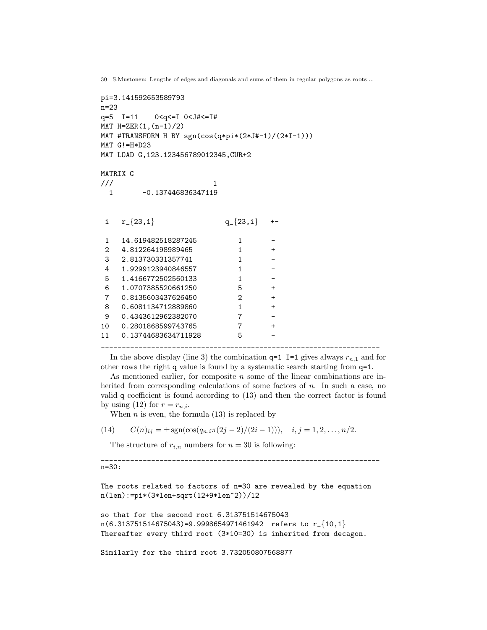```
30 S.Mustonen: Lengths of edges and diagonals and sums of them in regular polygons as roots ...
```

```
pi=3.141592653589793
n=23
q=5 I=11 0<q<=I 0<J#<=I#
MAT H = ZER(1,(n-1)/2)MAT #TRANSFORM H BY sgn(cos(q*pi*(2*J#-1)/(2*I-1)))
MAT G!=H*D23
MAT LOAD G,123.123456789012345,CUR+2
MATRIX G
\frac{1}{2} 1
 1 -0.137446836347119
i r_{23,i} q_{23,i} +-
1 14.619482518287245 1
2 4.812264198989465 1 +
3 2.813730331357741 1
4 1.9299123940846557 1 -
5 1.4166772502560133 1 -
6 1.0707385520661250 5 +
7 0.8135603437626450 2 +
8 0.6081134712889860 1 +
9  0.4343612962382070  7
10 0.2801868599743765 7 +
11 0.13744683634711928 5
___________________________________________________________________
```
In the above display (line 3) the combination  $q=1$  I=1 gives always  $r_{n,1}$  and for other rows the right q value is found by a systematic search starting from q=1.

As mentioned earlier, for composite  $n$  some of the linear combinations are inherited from corresponding calculations of some factors of n. In such a case, no valid q coefficient is found according to (13) and then the correct factor is found by using (12) for  $r = r_{n,i}$ .

When  $n$  is even, the formula (13) is replaced by

(14)  $C(n)_{ij} = \pm \text{sgn}(\cos(q_{n,i}\pi(2j-2)/(2i-1))), \quad i,j=1,2,\ldots,n/2.$ 

The structure of  $r_{i,n}$  numbers for  $n = 30$  is following:

\_\_\_\_\_\_\_\_\_\_\_\_\_\_\_\_\_\_\_\_\_\_\_\_\_\_\_\_\_\_\_\_\_\_\_\_\_\_\_\_\_\_\_\_\_\_\_\_\_\_\_\_\_\_\_\_\_\_\_\_\_\_\_\_\_\_\_ n=30:

The roots related to factors of n=30 are revealed by the equation n(len):=pi\*(3\*len+sqrt(12+9\*len^2))/12

```
so that for the second root 6.313751514675043
n(6.313751514675043)=9.9998654971461942 refers to r_{-}{10,1}Thereafter every third root (3*10=30) is inherited from decagon.
```
Similarly for the third root 3.732050807568877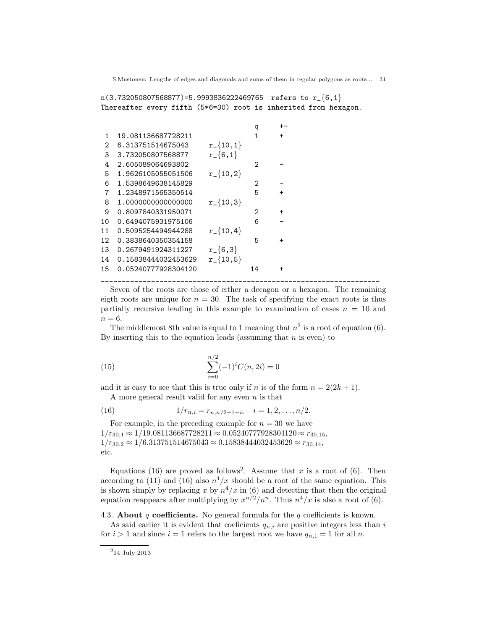$n(3.732050807568877) = 5.9993836222469765$  refers to  $r_{\text{-}}\{6,1\}$ Thereafter every fifth (5\*6=30) root is inherited from hexagon.

|                 |                     |                | q  | $+ -$     |  |  |
|-----------------|---------------------|----------------|----|-----------|--|--|
| 1               | 19.081136687728211  |                | 1  | $+$       |  |  |
| 2               | 6.313751514675043   | $r_{-}$ {10,1} |    |           |  |  |
| 3               | 3.732050807568877   | $r_{-}$ {6,1}  |    |           |  |  |
| 4               | 2.605089064693802   |                | 2  |           |  |  |
| 5               | 1.9626105055051506  | $r_{-}$ {10,2} |    |           |  |  |
| 6               | 1.5398649638145829  |                | 2  |           |  |  |
| 7               | 1.2348971565350514  |                | 5  | $+$       |  |  |
| 8               | 1.0000000000000000  | $r_{-}$ {10,3} |    |           |  |  |
| 9               | 0.8097840331950071  |                | 2  | $\ddot{}$ |  |  |
| 10              | 0.6494075931975106  |                | 6  |           |  |  |
| 11              | 0.5095254494944288  | $r_{-}$ {10,4} |    |           |  |  |
| 12 <sub>1</sub> | 0.3838640350354158  |                | 5  | $\ddot{}$ |  |  |
| 13              | 0.2679491924311227  | $r_{-}$ {6,3}  |    |           |  |  |
| 14              | 0.15838444032453629 | $r_{-}$ {10,5} |    |           |  |  |
| 15              | 0.05240777928304120 |                | 14 | $\ddot{}$ |  |  |
|                 |                     |                |    |           |  |  |

Seven of the roots are those of either a decagon or a hexagon. The remaining eigth roots are unique for  $n = 30$ . The task of specifying the exact roots is thus partially recursive leading in this example to examination of cases  $n = 10$  and  $n = 6$ .

The middlemost 8th value is equal to 1 meaning that  $n^2$  is a root of equation (6). By inserting this to the equation leads (assuming that  $n$  is even) to

(15) 
$$
\sum_{i=0}^{n/2} (-1)^i C(n, 2i) = 0
$$

and it is easy to see that this is true only if n is of the form  $n = 2(2k + 1)$ . A more general result valid for any even  $n$  is that

(16) 
$$
1/r_{n,i} = r_{n,n/2+1-i}, \quad i = 1, 2, ..., n/2.
$$

For example, in the preceding example for  $n = 30$  we have  $1/r_{30,1} \approx 1/19.081136687728211 \approx 0.05240777928304120 \approx r_{30,15}$  $1/r_{30.2} \approx 1/6.313751514675043 \approx 0.15838444032453629 \approx r_{30.14}$ etc.

Equations (16) are proved as follows<sup>2</sup>. Assume that x is a root of (6). Then according to (11) and (16) also  $n^4/x$  should be a root of the same equation. This is shown simply by replacing x by  $n^4/x$  in (6) and detecting that then the original equation reappears after multiplying by  $x^{n/2}/n^n$ . Thus  $n^4/x$  is also a root of (6).

4.3. About  $q$  coefficients. No general formula for the  $q$  coefficients is known.

As said earlier it is evident that coeficients  $q_{n,i}$  are positive integers less than i for  $i > 1$  and since  $i = 1$  refers to the largest root we have  $q_{n,1} = 1$  for all n.

 $^214$  July 2013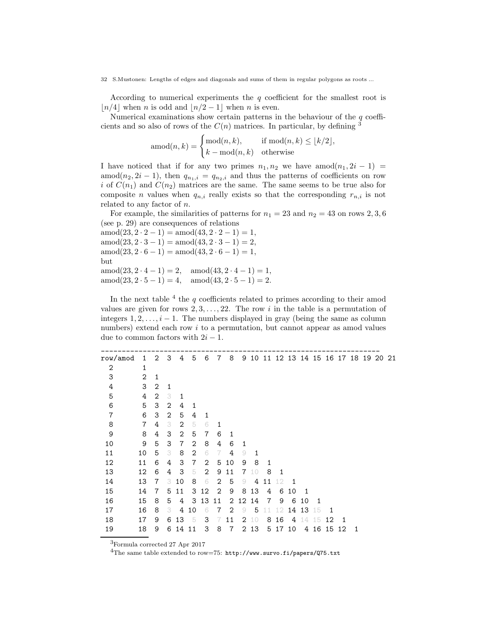According to numerical experiments the  $q$  coefficient for the smallest root is  $\lfloor n/4 \rfloor$  when n is odd and  $\lfloor n/2 - 1 \rfloor$  when n is even.

Numerical examinations show certain patterns in the behaviour of the  $q$  coefficients and so also of rows of the  $C(n)$  matrices. In particular, by defining <sup>3</sup>

$$
\operatorname{amod}(n,k) = \begin{cases} \operatorname{mod}(n,k), & \text{if } \operatorname{mod}(n,k) \le \lfloor k/2 \rfloor, \\ k - \operatorname{mod}(n,k) & \text{otherwise} \end{cases}
$$

I have noticed that if for any two primes  $n_1, n_2$  we have amod $(n_1, 2i - 1)$  = amod( $n_2, 2i - 1$ ), then  $q_{n_1,i} = q_{n_2,i}$  and thus the patterns of coefficients on row i of  $C(n_1)$  and  $C(n_2)$  matrices are the same. The same seems to be true also for composite n values when  $q_{n,i}$  really exists so that the corresponding  $r_{n,i}$  is not related to any factor of n.

For example, the similarities of patterns for  $n_1 = 23$  and  $n_2 = 43$  on rows 2, 3, 6 (see p. 29) are consequences of relations

 $\text{amod}(23, 2 \cdot 2 - 1) = \text{amod}(43, 2 \cdot 2 - 1) = 1,$  $amod(23, 2 \cdot 3 - 1) = amod(43, 2 \cdot 3 - 1) = 2$ ,  $\text{amod}(23, 2 \cdot 6 - 1) = \text{amod}(43, 2 \cdot 6 - 1) = 1,$ but  $amod(23, 2 \cdot 4 - 1) = 2$ ,  $amod(43, 2 \cdot 4 - 1) = 1$ , amod $(23, 2 \cdot 5 - 1) = 4$ , amod $(43, 2 \cdot 5 - 1) = 2$ .

In the next table  $4$  the  $q$  coefficients related to primes according to their amod values are given for rows  $2, 3, \ldots, 22$ . The row i in the table is a permutation of integers  $1, 2, \ldots, i - 1$ . The numbers displayed in gray (being the same as column numbers) extend each row i to a permutation, but cannot appear as amod values due to common factors with  $2i - 1$ .

| row/amod     | 1              | $\overline{2}$ | 3              | 4              | 5              | 6  | 7              | 8              |    |      |    |    |    |              |    |                |    | 9 10 11 12 13 14 15 16 17 18 19 20 |  | -21 |
|--------------|----------------|----------------|----------------|----------------|----------------|----|----------------|----------------|----|------|----|----|----|--------------|----|----------------|----|------------------------------------|--|-----|
| $\mathbf{2}$ | 1              |                |                |                |                |    |                |                |    |      |    |    |    |              |    |                |    |                                    |  |     |
| 3            | $\overline{2}$ | 1              |                |                |                |    |                |                |    |      |    |    |    |              |    |                |    |                                    |  |     |
| 4            | 3              | 2              | 1              |                |                |    |                |                |    |      |    |    |    |              |    |                |    |                                    |  |     |
| 5            | 4              | $\overline{2}$ | 3              | 1              |                |    |                |                |    |      |    |    |    |              |    |                |    |                                    |  |     |
| 6            | 5              | 3              | $\mathbf{2}$   | 4              | 1              |    |                |                |    |      |    |    |    |              |    |                |    |                                    |  |     |
| $\,7$        | 6              | 3              | $\overline{2}$ | 5              | 4              | 1  |                |                |    |      |    |    |    |              |    |                |    |                                    |  |     |
| 8            | $\overline{7}$ | 4              | 3              | 2              | 5              | 6  | 1              |                |    |      |    |    |    |              |    |                |    |                                    |  |     |
| 9            | 8              | 4              | 3              | 2              | 5              | 7  | 6              | 1              |    |      |    |    |    |              |    |                |    |                                    |  |     |
| 10           | 9              | 5              | 3              | $\overline{7}$ | $\overline{2}$ | 8  | 4              | 6              | 1  |      |    |    |    |              |    |                |    |                                    |  |     |
| 11           | 10             | 5              | 3              | 8              | 2              | 6  | 7              | 4              | 9  | 1    |    |    |    |              |    |                |    |                                    |  |     |
| 12           | 11             | 6              | 4              | 3              | 7              | 2  | 5              | 10             | 9  | 8    | 1  |    |    |              |    |                |    |                                    |  |     |
| 13           | 12             | 6              | 4              | 3              | 5              | 2  | 9              | 11             | 7  | 10   | 8  | 1  |    |              |    |                |    |                                    |  |     |
| 14           | 13             | 7              | 3              | 10             | 8              | 6  | 2              | 5              | 9  | 4    | 11 | 12 | 1  |              |    |                |    |                                    |  |     |
| 15           | 14             | $\overline{7}$ | 5              | 11             | 3              | 12 | $\overline{2}$ | 9              | 8  | 13   | 4  | 6  | 10 | $\mathbf{1}$ |    |                |    |                                    |  |     |
| 16           | 15             | 8              | 5              | 4              | 3              | 13 | 11             | $\overline{2}$ | 12 | 14   | 7  | 9  | 6  | 10           | -1 |                |    |                                    |  |     |
| 17           | 16             | 8              | 3              | 4              | 10             | 6  | 7              | 2              | 9  | 5    | 11 | 12 | 14 | 13           | 15 | $\overline{1}$ |    |                                    |  |     |
| 18           | 17             | 9              | 6              | 13             | -5             | 3  | 7              | 11             | 2  | 10   | 8  | 16 | 4  | 14           | 5  | 12             | 1  |                                    |  |     |
| 19           | 18             | 9              | 6              | 14             | 11             | 3  | 8              | 7              |    | 2 13 | 5  | 17 | 10 | 4            | 16 | 15             | 12 | 1                                  |  |     |

<sup>3</sup>Formula corrected 27 Apr 2017

 $^4{\rm The}$  same table extended to row=75: <code>http://www.survo.fi/papers/Q75.txt</code>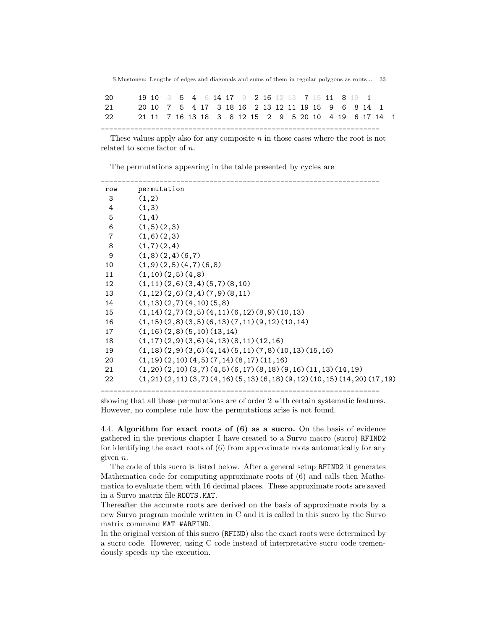| 20 | 19 10 3 5 4 6 14 17 9 2 16 12 13 7 15 11 8 19 1    |  |  |  |  |  |  |  |  |                                                       |  |
|----|----------------------------------------------------|--|--|--|--|--|--|--|--|-------------------------------------------------------|--|
| 21 | 20 10 7 5 4 17 3 18 16 2 13 12 11 19 15 9 6 8 14 1 |  |  |  |  |  |  |  |  |                                                       |  |
| 22 |                                                    |  |  |  |  |  |  |  |  | 21 11 7 16 13 18 3 8 12 15 2 9 5 20 10 4 19 6 17 14 1 |  |
|    |                                                    |  |  |  |  |  |  |  |  |                                                       |  |

These values apply also for any composite  $n$  in those cases where the root is not related to some factor of n.

The permutations appearing in the table presented by cycles are

| row            | permutation                                                          |
|----------------|----------------------------------------------------------------------|
| 3              | (1,2)                                                                |
| 4              | (1,3)                                                                |
| 5              | (1,4)                                                                |
| 6              | (1,5)(2,3)                                                           |
| $\overline{7}$ | (1,6)(2,3)                                                           |
| 8              | (1,7)(2,4)                                                           |
| 9              | (1,8)(2,4)(6,7)                                                      |
| 10             | (1,9)(2,5)(4,7)(6,8)                                                 |
| 11             | (1,10)(2,5)(4,8)                                                     |
| 12             | $(1, 11)$ $(2, 6)$ $(3, 4)$ $(5, 7)$ $(8, 10)$                       |
| 13             | $(1, 12)$ $(2, 6)$ $(3, 4)$ $(7, 9)$ $(8, 11)$                       |
| 14             | (1,13)(2,7)(4,10)(5,8)                                               |
| 15             | $(1, 14)$ $(2, 7)$ $(3, 5)$ $(4, 11)$ $(6, 12)$ $(8, 9)$ $(10, 13)$  |
| 16             | $(1, 15)$ $(2, 8)$ $(3, 5)$ $(6, 13)$ $(7, 11)$ $(9, 12)$ $(10, 14)$ |
| 17             | (1,16)(2,8)(5,10)(13,14)                                             |
| 18             | (1,17)(2,9)(3,6)(4,13)(8,11)(12,16)                                  |
| 19             | $(1,18)(2,9)(3,6)(4,14)(5,11)(7,8)(10,13)(15,16)$                    |
| 20             | (1,19)(2,10)(4,5)(7,14)(8,17)(11,16)                                 |
| 21             | $(1,20)(2,10)(3,7)(4,5)(6,17)(8,18)(9,16)(11,13)(14,19)$             |
| 22             | $(1,21)(2,11)(3,7)(4,16)(5,13)(6,18)(9,12)(10,15)(14,20)(17,19)$     |
|                |                                                                      |

showing that all these permutations are of order 2 with certain systematic features. However, no complete rule how the permutations arise is not found.

4.4. Algorithm for exact roots of (6) as a sucro. On the basis of evidence gathered in the previous chapter I have created to a Survo macro (sucro) RFIND2 for identifying the exact roots of (6) from approximate roots automatically for any given n.

The code of this sucro is listed below. After a general setup RFIND2 it generates Mathematica code for computing approximate roots of (6) and calls then Mathematica to evaluate them with 16 decimal places. These approximate roots are saved in a Survo matrix file ROOTS.MAT.

Thereafter the accurate roots are derived on the basis of approximate roots by a new Survo program module written in C and it is called in this sucro by the Survo matrix command MAT #ARFIND.

In the original version of this sucro (RFIND) also the exact roots were determined by a sucro code. However, using C code instead of interpretative sucro code tremendously speeds up the execution.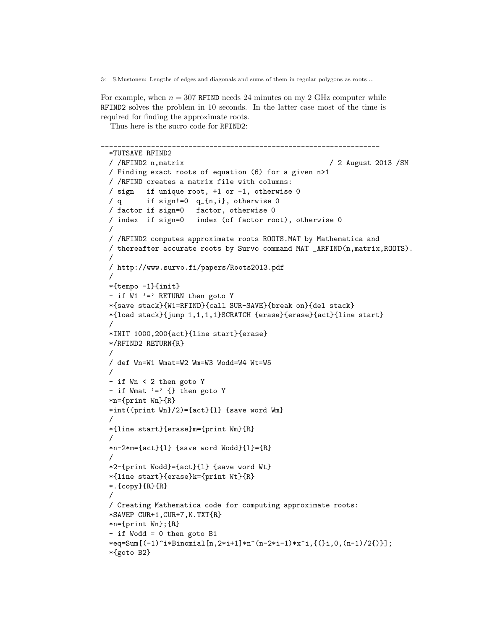For example, when  $n = 307$  RFIND needs 24 minutes on my 2 GHz computer while RFIND2 solves the problem in 10 seconds. In the latter case most of the time is required for finding the approximate roots.

Thus here is the sucro code for RFIND2:

```
___________________________________________________________________
*TUTSAVE RFIND2
/ /RFIND2 n,matrix / 2 August 2013 /SM
/ Finding exact roots of equation (6) for a given n>1
/ /RFIND creates a matrix file with columns:
/ sign if unique root, +1 or -1, otherwise 0
/ q if sign!=0 q_{n,i}, otherwise 0
/ factor if sign=0 factor, otherwise 0
/ index if sign=0 index (of factor root), otherwise 0
/
/ /RFIND2 computes approximate roots ROOTS.MAT by Mathematica and
/ thereafter accurate roots by Survo command MAT _ARFIND(n,matrix,ROOTS).
/
/ http://www.survo.fi/papers/Roots2013.pdf
/
*{tempo -1}{init}
- if W1 '=' RETURN then goto Y
*{save stack}{W1=RFIND}{call SUR-SAVE}{break on}{del stack}
*{load stack}{jump 1,1,1,1}SCRATCH {erase}{erase}{act}{line start}
/
*INIT 1000,200{act}{line start}{erase}
*/RFIND2 RETURN{R}
/
/ def Wn=W1 Wmat=W2 Wm=W3 Wodd=W4 Wt=W5
/
- if Wn < 2 then goto Y
- if Wmat ' =' \{ \} then goto Y
*n={print Wn}{R}
*int({\{print Wn\}}/2) = {\{act\}}\{1\} {save word Wm}
/
*{line start}{erase}m={print Wm}{R}
/
*n-2*m={act}{}_{1} {save word Wodd}{1}={R}
/
*2-{print Wodd}={act}{l} {save word Wt}
*{line start}{erase}k={print Wt}{R}
*.{copy}{R}{R}
/
/ Creating Mathematica code for computing approximate roots:
*SAVEP CUR+1,CUR+7,K.TXT{R}
*n={print Wn};{R}
- if Wodd = 0 then goto B1
*eq=Sum[(-1)^i*Binomial[n,2*i+1]*n^(n-2*i-1)*x^i,{(}i,0,(n-1)/2{)}];
*{goto B2}
```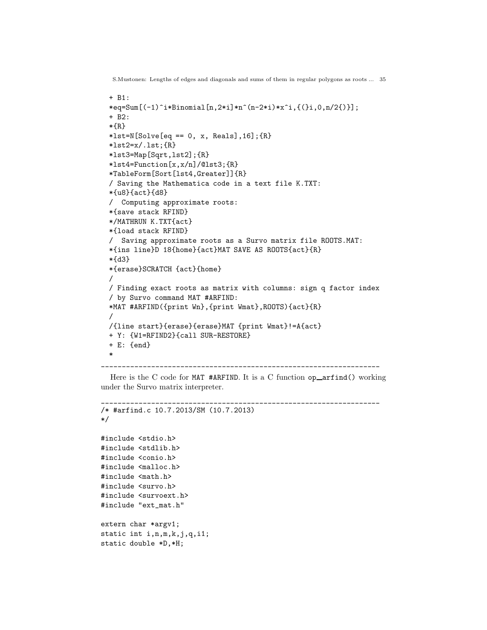```
S.Mustonen: Lengths of edges and diagonals and sums of them in regular polygons as roots ... 35
```

```
+ B1:
  *eq=Sum[(-1)^i*Binomial[n,2*i]*n^(n-2*i)*x^i,{(}i,0,n/2{)}];
  + B2:
  *{R}
 *lst=N[Solve[eq == 0, x, Reals], 16]; {R}*list2=x/.1st;{R}*lst3=Map[Sqrt,lst2];{R}
  *lst4=Function[x,x/n]/@lst3;{R}
  *TableForm[Sort[lst4,Greater]]{R}
  / Saving the Mathematica code in a text file K.TXT:
 *{u8}{act}{d8}
  / Computing approximate roots:
  *{save stack RFIND}
  */MATHRUN K.TXT{act}
  *{load stack RFIND}
  / Saving approximate roots as a Survo matrix file ROOTS.MAT:
  *{ins line}D 18{home}{act}MAT SAVE AS ROOTS{act}{R}
  *{d3}
 *{erase}SCRATCH {act}{home}
  /
 / Finding exact roots as matrix with columns: sign q factor index
  / by Survo command MAT #ARFIND:
 *MAT #ARFIND({print Wn},{print Wmat},ROOTS){act}{R}
  /
 /{line start}{erase}{erase}MAT {print Wmat}!=A{act}
 + Y: {W1=RFIND2}{call SUR-RESTORE}
 + E: {end}
  *
___________________________________________________________________
```
Here is the C code for MAT #ARFIND. It is a C function  $op = \text{arfind}($ ) working under the Survo matrix interpreter.

```
___________________________________________________________________
/* #arfind.c 10.7.2013/SM (10.7.2013)
*/
#include <stdio.h>
#include <stdlib.h>
#include <conio.h>
#include <malloc.h>
```

```
#include <math.h>
#include <survo.h>
#include <survoext.h>
```

```
#include "ext_mat.h"
```

```
extern char *argv1;
static int i,n,m,k,j,q,i1;
static double *D,*H;
```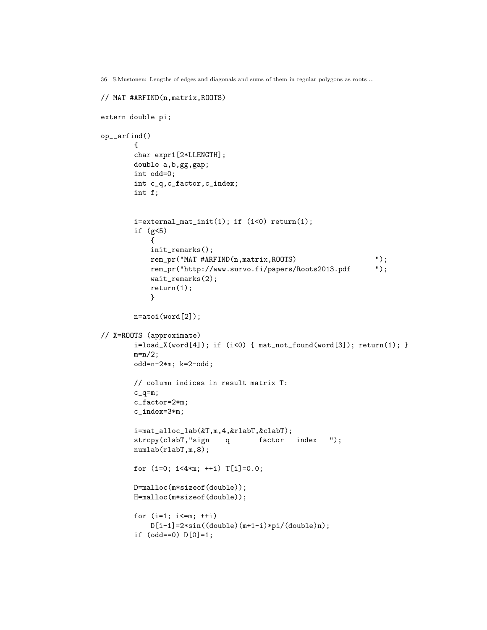```
// MAT #ARFIND(n,matrix,ROOTS)
```

```
extern double pi;
op__arfind()
       {
       char expr1[2*LLENGTH];
       double a,b,gg,gap;
       int odd=0;
       int c_q,c_factor,c_index;
       int f;
       i=external_mat_init(1); if (i<0) return(1);
       if (g<5)
           {
           init_remarks();
           rem_pr("MAT #ARFIND(n,matrix,ROOTS) ');
           rem_pr("http://www.survo.fi/papers/Roots2013.pdf ");
           wait_remarks(2);
           return(1);
           }
       n=atoi(word[2]);
// X=ROOTS (approximate)
       i=load_X(word[4]); if (i<0) { mat not_found(word[3]); return(1); }m=n/2;odd=n-2*m; k=2-odd;
       // column indices in result matrix T:
       c_q = m;c_factor=2*m;
       c_index=3*m;
       i=mat_alloc_lab(&T,m,4,&rlabT,&clabT);
       strcpy(clabT,"sign q factor index ");
       numlab(rlabT,m,8);
       for (i=0; i<4*m; ++i) T[i]=0.0;
       D=malloc(m*sizeof(double));
       H=malloc(m*sizeof(double));
       for (i=1; i<=m; ++i)D[i-1]=2*sin((double)(m+1-i)*pi/(double)n);if (odd==0) D[0]=1;
```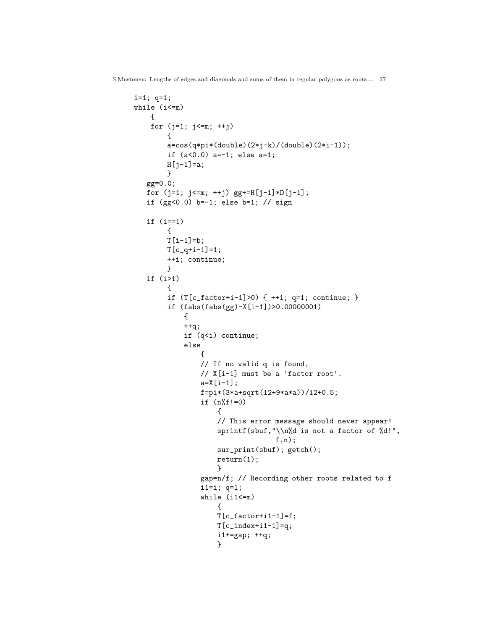```
i=1; q=1;
while (i<=m)
    {
    for (j=1; j<=m; ++j)
        {
        a=cos(q*pi*(double)(2*j-k)/(double)(2*i-1));
        if (a<0.0) a=-1; else a=1;
       H[j-1]=a;}
   gg=0.0;
   for (j=1; j<=m; ++j) gg+=H[j-1]*D[j-1];if (gg<0.0) b=-1; else b=1; // sign
   if (i==1)
        {
       T[i-1]=b;T[c_q+i-1]=1;++i; continue;
        }
   if (i>1)
        {
        if (T[c_factor+i-1]>0) { ++i; q=1; continue; }
        if (fabs(fabs(gg)-X[i-1])>0.00000001)
            {
            ++q;
            if (q<i) continue;
            else
                {
                // If no valid q is found,
                // X[i-1] must be a 'factor root'.
                a = X[i-1];f=pi*(3*a+sqrt(12+9*a*a))/12+0.5;
                if (n\%f!=0){
                    // This error message should never appear!
                    sprintf(sbuf,"\\n%d is not a factor of %d!",
                                  f,n);
                    sur_print(sbuf); getch();
                    return(1);
                    }
                gap=n/f; // Recording other roots related to f
                i1=i; q=1;
                while (i1<=m){
                    T[c_factor+i1-1]=f;T[c_index+i1-1]=q;i1+=gap; ++q;
                    }
```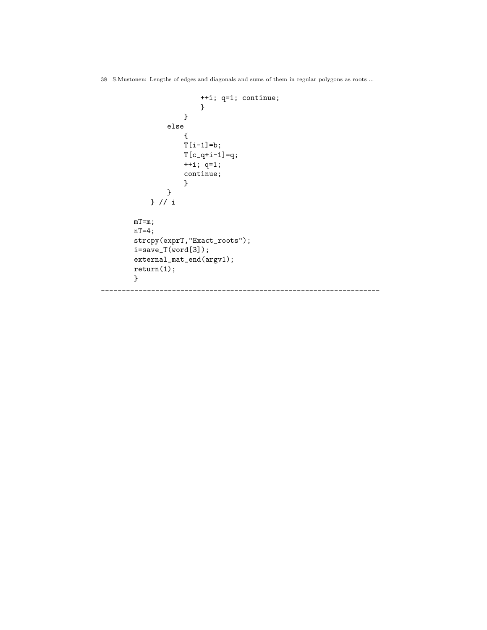```
++i; q=1; continue;
                       }
                    }
               else
                    {
                   T[i-1]=b;T[c_q+i-1]=q;++i; q=1;
                    continue;
                    }
               }
           } // i
       mT=m;
       nT=4;
       strcpy(exprT,"Exact_roots");
       i=save_T(word[3]);
       external_mat_end(argv1);
       return(1);
       }
___________________________________________________________________
```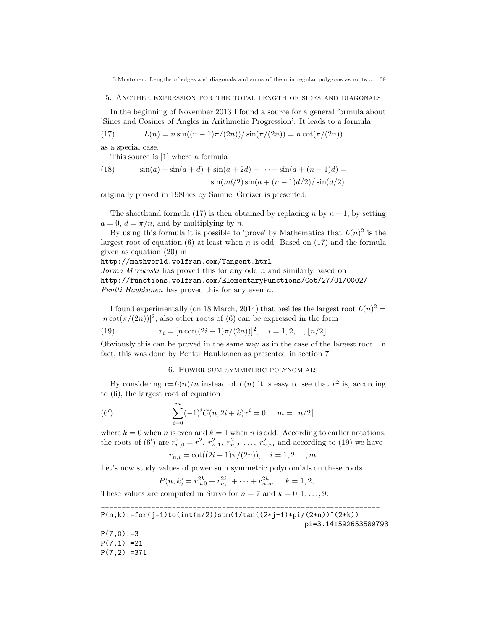5. Another expression for the total length of sides and diagonals

In the beginning of November 2013 I found a source for a general formula about 'Sines and Cosines of Angles in Arithmetic Progression'. It leads to a formula

(17)  $L(n) = n \sin((n-1)\pi/(2n))/\sin(\pi/(2n)) = n \cot(\pi/(2n))$ 

as a special case.

This source is [1] where a formula

(18) 
$$
\sin(a) + \sin(a+d) + \sin(a+2d) + \cdots + \sin(a+(n-1)d) = \sin(nd/2)\sin(a+(n-1)d/2)/\sin(d/2).
$$

originally proved in 1980ies by Samuel Greizer is presented.

The shorthand formula (17) is then obtained by replacing n by  $n-1$ , by setting  $a = 0, d = \pi/n$ , and by multiplying by n.

By using this formula it is possible to 'prove' by Mathematica that  $L(n)^2$  is the largest root of equation (6) at least when n is odd. Based on  $(17)$  and the formula given as equation (20) in

http://mathworld.wolfram.com/Tangent.html Jorma Merikoski has proved this for any odd n and similarly based on

http://functions.wolfram.com/ElementaryFunctions/Cot/27/01/0002/

Pentti Haukkanen has proved this for any even n.

I found experimentally (on 18 March, 2014) that besides the largest root  $L(n)^2 =$  $[n \cot(\pi/(2n))]^2$ , also other roots of (6) can be expressed in the form

(19) 
$$
x_i = [n \cot((2i-1)\pi/(2n))]^2, \quad i = 1, 2, ..., \lfloor n/2 \rfloor.
$$

Obviously this can be proved in the same way as in the case of the largest root. In fact, this was done by Pentti Haukkanen as presented in section 7.

6. Power sum symmetric polynomials

By considering  $r=L(n)/n$  instead of  $L(n)$  it is easy to see that  $r^2$  is, according to (6), the largest root of equation

(6') 
$$
\sum_{i=0}^{m} (-1)^{i} C(n, 2i+k)x^{i} = 0, \quad m = \lfloor n/2 \rfloor
$$

where  $k = 0$  when n is even and  $k = 1$  when n is odd. According to earlier notations, the roots of (6') are  $r_{n,0}^2 = r^2$ ,  $r_{n,1}^2$ ,  $r_{n,2}^2$ , ...,  $r_{n,m}^2$  and according to (19) we have  $r_{n,i} = \cot((2i-1)\pi/(2n)), \quad i = 1, 2, ..., m.$ 

Let's now study values of power sum symmetric polynomials on these roots

$$
P(n,k) = r_{n,0}^{2k} + r_{n,1}^{2k} + \dots + r_{n,m}^{2k}, \quad k = 1,2,\dots.
$$

These values are computed in Survo for  $n = 7$  and  $k = 0, 1, \ldots, 9$ :

\_\_\_\_\_\_\_\_\_\_\_\_\_\_\_\_\_\_\_\_\_\_\_\_\_\_\_\_\_\_\_\_\_\_\_\_\_\_\_\_\_\_\_\_\_\_\_\_\_\_\_\_\_\_\_\_\_\_\_\_\_\_\_\_\_\_\_  $P(n,k):=for(j=1)to(int(n/2))sum(1/tan((2*j-1)*pi/(2*n))^{(2*k)})$ pi=3.141592653589793  $P(7,0)$ .=3  $P(7,1)$ .=21  $P(7,2)$ .=371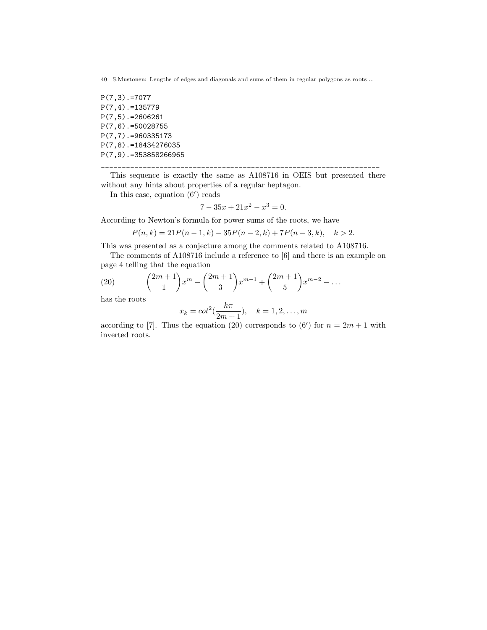P(7,3).=7077 P(7,4).=135779 P(7,5).=2606261 P(7,6).=50028755 P(7,7).=960335173 P(7,8).=18434276035 P(7,9).=353858266965

\_\_\_\_\_\_\_\_\_\_\_\_\_\_\_\_\_\_\_\_\_\_\_\_\_\_\_\_\_\_\_\_\_\_\_\_\_\_\_\_\_\_\_\_\_\_\_\_\_\_\_\_\_\_\_\_\_\_\_\_\_\_\_\_\_\_\_

This sequence is exactly the same as A108716 in OEIS but presented there without any hints about properties of a regular heptagon.

In this case, equation  $(6')$  reads

$$
7 - 35x + 21x^2 - x^3 = 0.
$$

According to Newton's formula for power sums of the roots, we have

$$
P(n,k) = 21P(n-1,k) - 35P(n-2,k) + 7P(n-3,k), \quad k > 2.
$$

This was presented as a conjecture among the comments related to A108716.

The comments of A108716 include a reference to [6] and there is an example on page 4 telling that the equation

(20) 
$$
{2m+1 \choose 1} x^m - {2m+1 \choose 3} x^{m-1} + {2m+1 \choose 5} x^{m-2} - \dots
$$

has the roots

$$
x_k = \cot^2(\frac{k\pi}{2m+1}), \quad k = 1, 2, ..., m
$$

according to [7]. Thus the equation (20) corresponds to (6') for  $n = 2m + 1$  with inverted roots.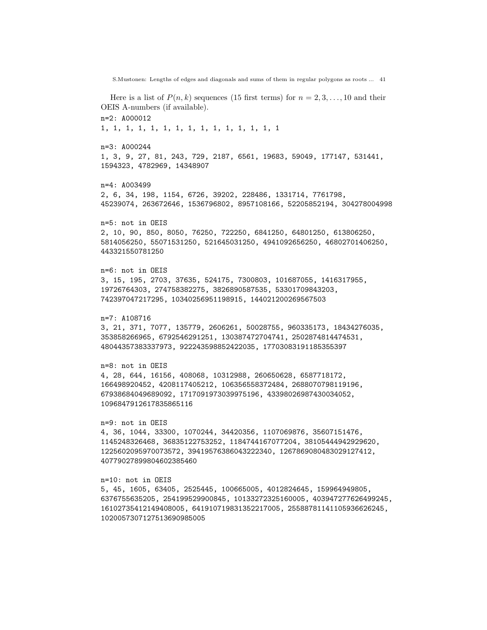S.Mustonen: Lengths of edges and diagonals and sums of them in regular polygons as roots ... 41 Here is a list of  $P(n, k)$  sequences (15 first terms) for  $n = 2, 3, ..., 10$  and their OEIS A-numbers (if available). n=2: A000012 1, 1, 1, 1, 1, 1, 1, 1, 1, 1, 1, 1, 1, 1, 1 n=3: A000244 1, 3, 9, 27, 81, 243, 729, 2187, 6561, 19683, 59049, 177147, 531441, 1594323, 4782969, 14348907 n=4: A003499 2, 6, 34, 198, 1154, 6726, 39202, 228486, 1331714, 7761798, 45239074, 263672646, 1536796802, 8957108166, 52205852194, 304278004998 n=5: not in OEIS 2, 10, 90, 850, 8050, 76250, 722250, 6841250, 64801250, 613806250, 5814056250, 55071531250, 521645031250, 4941092656250, 46802701406250, 443321550781250 n=6: not in OEIS 3, 15, 195, 2703, 37635, 524175, 7300803, 101687055, 1416317955, 19726764303, 274758382275, 3826890587535, 53301709843203, 742397047217295, 10340256951198915, 144021200269567503 n=7: A108716 3, 21, 371, 7077, 135779, 2606261, 50028755, 960335173, 18434276035, 353858266965, 6792546291251, 130387472704741, 2502874814474531, 48044357383337973, 922243598852422035, 17703083191185355397 n=8: not in OEIS 4, 28, 644, 16156, 408068, 10312988, 260650628, 6587718172, 166498920452, 4208117405212, 106356558372484, 2688070798119196, 67938684049689092, 1717091973039975196, 43398026987430034052, 1096847912617835865116 n=9: not in OEIS 4, 36, 1044, 33300, 1070244, 34420356, 1107069876, 35607151476, 1145248326468, 36835122753252, 1184744167077204, 38105444942929620, 1225602095970073572, 39419576386043222340, 1267869080483029127412, 40779027899804602385460 n=10: not in OEIS 5, 45, 1605, 63405, 2525445, 100665005, 4012824645, 159964949805, 6376755635205, 254199529900845, 10133272325160005, 403947277626499245, 16102735412149408005, 641910719831352217005, 25588781141105936626245, 1020057307127513690985005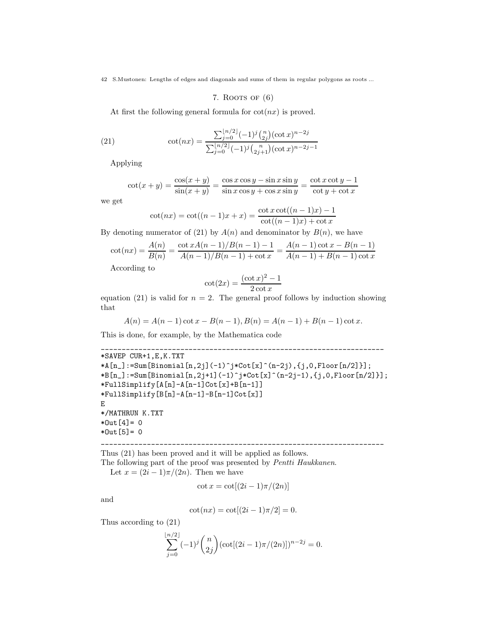7. ROOTS OF  $(6)$ 

At first the following general formula for  $cot(nx)$  is proved.

(21) 
$$
\cot(nx) = \frac{\sum_{j=0}^{\lfloor n/2 \rfloor} (-1)^j \binom{n}{2j} (\cot x)^{n-2j}}{\sum_{j=0}^{\lfloor n/2 \rfloor} (-1)^j \binom{n}{2j+1} (\cot x)^{n-2j-1}}
$$

Applying

$$
\cot(x+y) = \frac{\cos(x+y)}{\sin(x+y)} = \frac{\cos x \cos y - \sin x \sin y}{\sin x \cos y + \cos x \sin y} = \frac{\cot x \cot y - 1}{\cot y + \cot x}
$$

we get

$$
\cot(nx) = \cot((n-1)x + x) = \frac{\cot x \cot((n-1)x) - 1}{\cot((n-1)x) + \cot x}
$$

By denoting numerator of (21) by  $A(n)$  and denominator by  $B(n)$ , we have

$$
\cot(nx) = \frac{A(n)}{B(n)} = \frac{\cot x A(n-1)/B(n-1) - 1}{A(n-1)/B(n-1) + \cot x} = \frac{A(n-1)\cot x - B(n-1)}{A(n-1) + B(n-1)\cot x}
$$

According to

$$
\cot(2x) = \frac{(\cot x)^2 - 1}{2\cot x}
$$

equation (21) is valid for  $n = 2$ . The general proof follows by induction showing that

$$
A(n) = A(n-1)\cot x - B(n-1), B(n) = A(n-1) + B(n-1)\cot x.
$$

This is done, for example, by the Mathematica code

```
____________________________________________________________________
*SAVEP CUR+1,E,K.TXT
*A[n_]: = Sum[Binomial[n,2j](-1)^j * Cot[x]^(n-2j), {j,0,Floor[n/2]}];
*B[n_]:=\text{Sum}[Binomial[n,2j+1](-1)^{*}*\text{Cot}[x]^{*}(n-2j-1),\{j,0,Floor[n/2]\}];
*FullSimplify[A[n]-A[n-1]Cot[x]+B[n-1]]
*FullSimplify[B[n]-A[n-1]-B[n-1]Cot[x]]E
*/MATHRUN K.TXT
*Out[4] = 0*Out[5] = 0
```
\_\_\_\_\_\_\_\_\_\_\_\_\_\_\_\_\_\_\_\_\_\_\_\_\_\_\_\_\_\_\_\_\_\_\_\_\_\_\_\_\_\_\_\_\_\_\_\_\_\_\_\_\_\_\_\_\_\_\_\_\_\_\_\_\_\_\_\_ Thus (21) has been proved and it will be applied as follows.

The following part of the proof was presented by Pentti Haukkanen.

Let  $x = (2i - 1)\pi/(2n)$ . Then we have

$$
\cot x = \cot[(2i-1)\pi/(2n)]
$$

and

$$
\cot(nx) = \cot[(2i - 1)\pi/2] = 0.
$$

Thus according to (21)

$$
\sum_{j=0}^{\lfloor n/2 \rfloor} (-1)^j {n \choose 2j} (\cot[(2i-1)\pi/(2n)])^{n-2j} = 0.
$$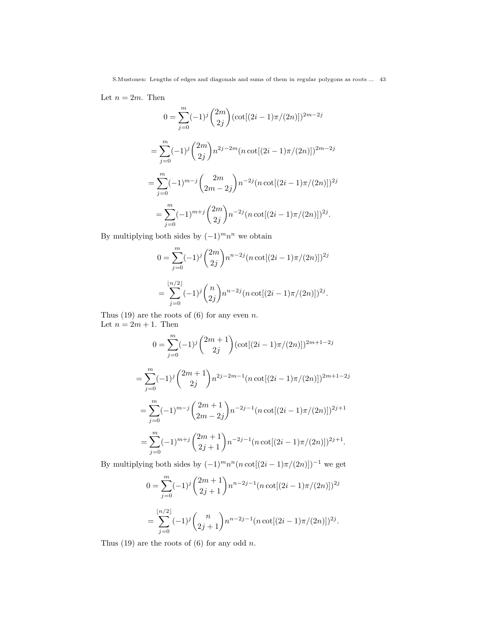Let  $n = 2m$ . Then

$$
0 = \sum_{j=0}^{m} (-1)^{j} {2m \choose 2j} (\cot[(2i-1)\pi/(2n)])^{2m-2j}
$$
  
= 
$$
\sum_{j=0}^{m} (-1)^{j} {2m \choose 2j} n^{2j-2m} (n \cot[(2i-1)\pi/(2n)])^{2m-2j}
$$
  
= 
$$
\sum_{j=0}^{m} (-1)^{m-j} {2m \choose 2m-2j} n^{-2j} (n \cot[(2i-1)\pi/(2n)])^{2j}
$$
  
= 
$$
\sum_{j=0}^{m} (-1)^{m+j} {2m \choose 2j} n^{-2j} (n \cot[(2i-1)\pi/(2n)])^{2j}.
$$

By multiplying both sides by  $(-1)^m n^n$  we obtain

$$
0 = \sum_{j=0}^{m} (-1)^j {2m \choose 2j} n^{n-2j} (n \cot[(2i-1)\pi/(2n)])^{2j}
$$
  
= 
$$
\sum_{j=0}^{\lfloor n/2 \rfloor} (-1)^j {n \choose 2j} n^{n-2j} (n \cot[(2i-1)\pi/(2n)])^{2j}.
$$

Thus (19) are the roots of (6) for any even  $n$ . Let  $n = 2m + 1$ . Then

$$
0 = \sum_{j=0}^{m} (-1)^{j} {2m+1 \choose 2j} (\cot[(2i-1)\pi/(2n)])^{2m+1-2j}
$$
  
= 
$$
\sum_{j=0}^{m} (-1)^{j} {2m+1 \choose 2j} n^{2j-2m-1} (n \cot[(2i-1)\pi/(2n)])^{2m+1-2j}
$$
  
= 
$$
\sum_{j=0}^{m} (-1)^{m-j} {2m+1 \choose 2m-2j} n^{-2j-1} (n \cot[(2i-1)\pi/(2n)])^{2j+1}
$$
  
= 
$$
\sum_{j=0}^{m} (-1)^{m+j} {2m+1 \choose 2j+1} n^{-2j-1} (n \cot[(2i-1)\pi/(2n)])^{2j+1}.
$$

By multiplying both sides by  $(-1)^m n^n (n \cot[(2i-1)\pi/(2n))]^{-1}$  we get

$$
0 = \sum_{j=0}^{m} (-1)^j {2m+1 \choose 2j+1} n^{n-2j-1} (n \cot[(2i-1)\pi/(2n)])^{2j}
$$
  
= 
$$
\sum_{j=0}^{\lfloor n/2 \rfloor} (-1)^j {n \choose 2j+1} n^{n-2j-1} (n \cot[(2i-1)\pi/(2n)])^{2j}.
$$

Thus  $(19)$  are the roots of  $(6)$  for any odd n.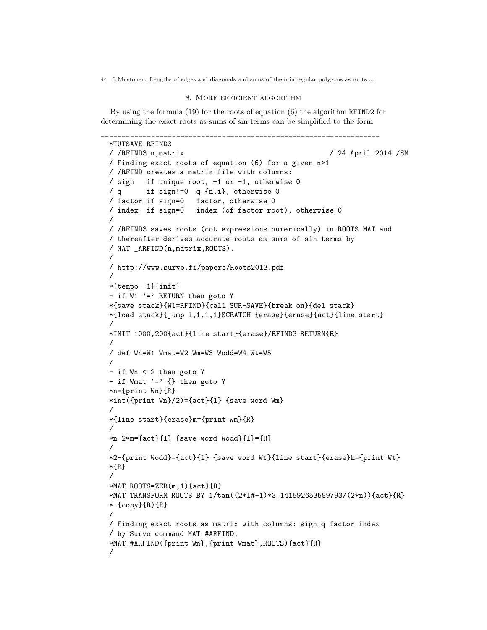# 8. More efficient algorithm

By using the formula (19) for the roots of equation (6) the algorithm RFIND2 for determining the exact roots as sums of sin terms can be simplified to the form

```
___________________________________________________________________
*TUTSAVE RFIND3
/ /RFIND3 n,matrix / 24 April 2014 /SM
/ Finding exact roots of equation (6) for a given n>1
/ /RFIND creates a matrix file with columns:
/ sign if unique root, +1 or -1, otherwise 0
/ q if sign!=0 q_{n,i}, otherwise 0
/ factor if sign=0 factor, otherwise 0
/ index if sign=0 index (of factor root), otherwise 0
/
/ /RFIND3 saves roots (cot expressions numerically) in ROOTS.MAT and
/ thereafter derives accurate roots as sums of sin terms by
/ MAT _ARFIND(n,matrix,ROOTS).
/
/ http://www.survo.fi/papers/Roots2013.pdf
/
*{tempo -1}{init}
- if W1 '=' RETURN then goto Y
*{save stack}{W1=RFIND}{call SUR-SAVE}{break on}{del stack}
*{load stack}{jump 1,1,1,1}SCRATCH {erase}{erase}{act}{line start}
/
*INIT 1000,200{act}{line start}{erase}/RFIND3 RETURN{R}
/
/ def Wn=W1 Wmat=W2 Wm=W3 Wodd=W4 Wt=W5
/
- if Wn < 2 then goto Y
- if Wmat ' =' \{\} then goto Y
*n={print Wn}{R}
*int({print Wn}/2)={act}{l} {save word Wm}
/
*{line start}{erase}m={print Wm}{R}
/
*n-2*m={act}{}_{1} {save word Wodd}{1}={R}
/
*2-{print Wodd}={act}{l} {save word Wt}{line start}{erase}k={print Wt}
*{R}
/
*MAT ROOTS=ZER(m,1){act}{R}
*MAT TRANSFORM ROOTS BY 1/tan((2*I#-1)*3.141592653589793/(2*n)){act}{R}
*.{copy}{R}{R}
/
/ Finding exact roots as matrix with columns: sign q factor index
/ by Survo command MAT #ARFIND:
*MAT #ARFIND({print Wn},{print Wmat},ROOTS){act}{R}
/
```